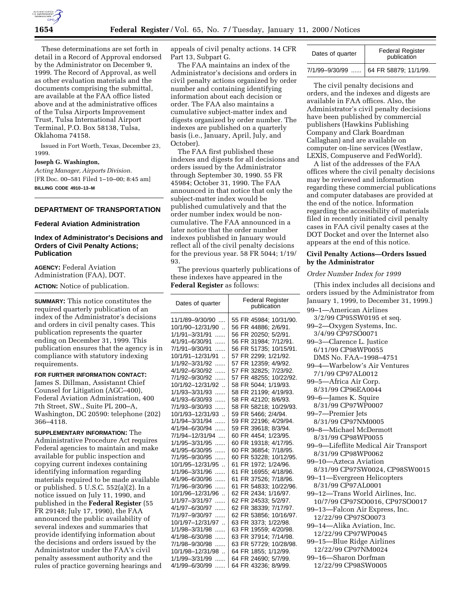

These determinations are set forth in detail in a Record of Approval endorsed by the Administrator on December 9, 1999. The Record of Approval, as well as other evaluation materials and the documents comprising the submittal, are available at the FAA office listed above and at the administrative offices of the Tulsa Airports Improvement Trust, Tulsa International Airport Terminal, P.O. Box 58138, Tulsa, Oklahoma 74158.

Issued in Fort Worth, Texas, December 23, 1999.

### **Joseph G. Washington,**

*Acting Manager, Airports Division.* [FR Doc. 00–581 Filed 1–10–00; 8:45 am] **BILLING CODE 4910–13–M**

### **DEPARTMENT OF TRANSPORTATION**

## **Federal Aviation Administration**

## **Index of Administrator's Decisions and Orders of Civil Penalty Actions; Publication**

**AGENCY:** Federal Aviation Administration (FAA), DOT.

**ACTION:** Notice of publication.

**SUMMARY:** This notice constitutes the required quarterly publication of an index of the Administrator's decisions and orders in civil penalty cases. This publication represents the quarter ending on December 31, 1999. This publication ensures that the agency is in compliance with statutory indexing requirements.

#### **FOR FURTHER INFORMATION CONTACT:**

James S. Dillman, Assistannt Chief Counsel for Litigation (AGC–400), Federal Aviation Administration, 400 7th Street, SW., Suite PL 200–A, Washington, DC 20590: telephone (202) 366–4118.

**SUPPLEMENTARY INFORMATION:** The Administrative Procedure Act requires Federal agencies to maintain and make available for public inspection and copying current indexes containing identifying information regarding materials required to be made available or published. 5 U.S.C. 552(a)(2). In a notice issued on July 11, 1990, and published in the **Federal Register** (55 FR 29148; July 17, 1990), the FAA announced the public availability of several indexes and summaries that provide identifying information about the decisions and orders issued by the Administrator under the FAA's civil penalty assessment authority and the rules of practice governing hearings and

appeals of civil penalty actions. 14 CFR Part 13, Subpart G.

The FAA maintains an index of the Administrator's decisions and orders in civil penalty actions organized by order number and containing identifying information about each decision or order. The FAA also maintains a cumulative subject-matter index and digests organized by order number. The indexes are published on a quarterly basis (i.e., January, April, July, and October).

The FAA first published these indexes and digests for all decisions and orders issued by the Administrator through September 30, 1990. 55 FR 45984; October 31, 1990. The FAA announced in that notice that only the subject-matter index would be published cumulatively and that the order number index would be noncumulative. The FAA announced in a later notice that the order number indexes published in January would reflect all of the civil penalty decisions for the previous year. 58 FR 5044; 1/19/ 93.

The previous quarterly publications of these indexes have appeared in the **Federal Register** as follows:

| Dates of quarter                    | <b>Federal Register</b><br>publication         |  |
|-------------------------------------|------------------------------------------------|--|
| 11/1/89-9/30/90<br>10/1/90-12/31/90 | 55 FR 45984; 10/31/90.<br>56 FR 44886; 2/6/91. |  |
| 1/1/91-3/31/91                      | 56 FR 20250; 5/2/91.                           |  |
| 4/1/91-6/30/91<br>.                 | 56 FR 31984; 7/12/91.                          |  |
| 7/1/91-9/30/91<br>.                 | 56 FR 51735; 10/15/91.                         |  |
| 10/1/91-12/31/91                    | 57 FR 2299; 1/21/92.                           |  |
| 1/1/92-3/31/92<br>.                 | 57 FR 12359; 4/9/92.                           |  |
| 4/1/92-6/30/92<br>.                 | 57 FR 32825; 7/23/92.                          |  |
| 7/1/92-9/30/92<br>.                 | 57 FR 48255; 10/22/92.                         |  |
| 10/1/92-12/31/92                    | 58 FR 5044: 1/19/93.                           |  |
| 1/1/93-3/31/93<br>.                 | 58 FR 21199; 4/19/93.                          |  |
| 4/1/93-6/30/93<br>.                 | 58 FR 42120; 8/6/93.                           |  |
| 7/1/93-9/30/93                      | 58 FR 58218; 10/29/93.                         |  |
| 10/1/93-12/31/93.                   | 59 FR 5466; 2/4/94.                            |  |
| 1/1/94-3/31/94<br>.                 | 59 FR 22196; 4/29/94.                          |  |
| 4/1/94-6/30/94<br>.                 | 59 FR 39618; 8/3/94.                           |  |
| 7/1/94-12/31/94                     | 60 FR 4454; 1/23/95.                           |  |
| 1/1/95-3/31/95<br>.                 | 60 FR 19318; 4/17/95.                          |  |
| 4/1/95-6/30/95<br>.                 | 60 FR 36854; 7/18/95.                          |  |
| 7/1/95-9/30/95<br>.                 | 60 FR 53228; 10/12/95.                         |  |
| 10/1/95-12/31/95<br>1/1/96-3/31/96  | 61 FR 1972; 1/24/96.<br>61 FR 16955: 4/18/96.  |  |
| .<br>4/1/96-6/30/96                 | 61 FR 37526; 7/18/96.                          |  |
| .<br>7/1/96-9/30/96<br>.            | 61 FR 54833; 10/22/96.                         |  |
| 10/1/96-12/31/96                    | 62 FR 2434: 1/16/97.                           |  |
| 1/1/97-3/31/97<br>.                 | 62 FR 24533; 5/2/97.                           |  |
| 4/1/97-6/30/97<br>.                 | 62 FR 38339; 7/17/97.                          |  |
| 7/1/97-9/30/97<br>.                 | 62 FR 53856; 10/16/97.                         |  |
| 10/1/97-12/31/97                    | 63 FR 3373; 1/22/98.                           |  |
| 1/1/98-3/31/98<br>.                 | 63 FR 19559; 4/20/98.                          |  |
| 4/1/98-6/30/98<br>.                 | 63 FR 37914; 7/14/98.                          |  |
| 7/1/98-9/30/98<br>.                 | 63 FR 57729; 10/28/98.                         |  |
| 10/1/98-12/31/98.                   | 64 FR 1855; 1/12/99.                           |  |
| 1/1/99-3/31/99<br>.                 | 64 FR 24690; 5/7/99.                           |  |
| 4/1/99-6/30/99<br>.                 | 64 FR 43236; 8/9/99.                           |  |

| Dates of quarter | <b>Federal Register</b><br>publication  |
|------------------|-----------------------------------------|
|                  | 7/1/99-9/30/99    64 FR 58879; 11/1/99. |

The civil penalty decisions and orders, and the indexes and digests are available in FAA offices. Also, the Administrator's civil penalty decisions have been published by commercial publishers (Hawkins Publishing Company and Clark Boardman Callaghan) and are available on computer on-line services (Westlaw, LEXIS, Compuserve and FedWorld).

A list of the addresses of the FAA offices where the civil penalty decisions may be reviewed and information regarding these commercial publications and computer databases are provided at the end of the notice. Information regarding the accessibility of materials filed in recently initiated civil penalty cases in FAA civil penalty cases at the DOT Docket and over the Internet also appears at the end of this notice.

#### **Civil Penalty Actions—Orders Issued by the Administrator**

### *Order Number Index for 1999*

(This index includes all decisions and orders issued by the Administrator from January 1, 1999, to December 31, 1999.) 99–1—American Airlines

3/2/99 CP95SW0195 et seq. 99–2—Oxygen Systems, Inc. 3/4/99 CP97SO0071 99–3—Clarence L. Justice 6/11/99 CP98WP0055 DMS No. FAA–1998–4751 99–4—Warbelow's Air Ventures 7/1/99 CP97AL0012 99–5—Africa Air Corp. 8/31/99 CP96EA0044 99–6—James K. Squire 8/31/99 CP97WP0007 99–7—Premier Jets 8/31/99 CP97NM0005 99–8—Michael McDermott 8/31/99 CP98WP0055 99–9—Lifeflite Medical Air Transport 8/31/99 CP98WP0062 99–10—Azteca Aviation 8/31/99 CP97SW0024, CP98SW0015 99–11—Evergreen Helicopters 8/31/99 CP97AL0001 99–12—Trans World Airlines, Inc. 10/7/99 CP97SO0016, CP97SO0017 99–13—Falcon Air Express, Inc. 12/22/99 CP97SO0073 99–14—Alika Aviation, Inc. 12/22/99 CP97WP0045 99–15—Blue Ridge Airlines 12/22/99 CP97NM0024 99–16—Sharon Dorfman 12/22/99 CP98SW0005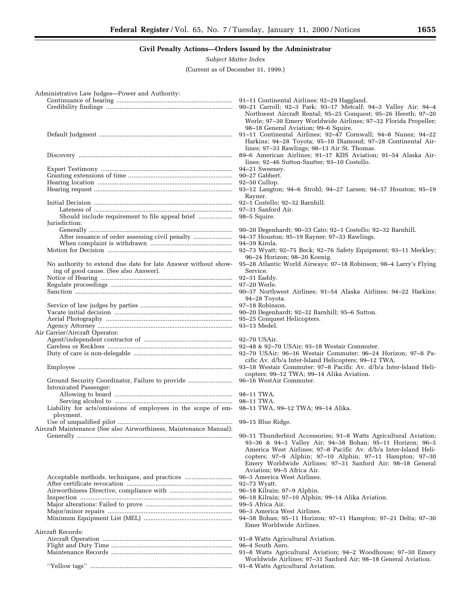# **Civil Penalty Actions—Orders Issued by the Administrator**

*Subject Matter Index*

(Current as of December 31, 1999.)

Aircraft Records:

Flight and Duty Time ....................................................................... 96–4 South Aero.

''Yellow tags'' ................................................................................... 91–8 Watts Agricultural Aviation.

| Administrative Law Judges-Power and Authority:                     |                                                                   |
|--------------------------------------------------------------------|-------------------------------------------------------------------|
|                                                                    |                                                                   |
|                                                                    | 90-21 Carroll; 92-3 Park; 93-17 Metcalf; 94-3 Valley Air; 94-4    |
|                                                                    | Northwest Aircraft Rental; 95-25 Conquest; 95-26 Hereth; 97-20    |
|                                                                    | Werle; 97-30 Emery Worldwide Airlines; 97-32 Florida Propeller;   |
|                                                                    | 98-18 General Aviation; 99-6 Squire.                              |
|                                                                    | 91-11 Continental Airlines; 92-47 Cornwall; 94-8 Nunez; 94-22     |
|                                                                    | Harkins; 94-28 Toyota; 95-10 Diamond; 97-28 Continental Air-      |
|                                                                    | lines; 97-33 Rawlings; 98-13 Air St. Thomas.                      |
|                                                                    | 89-6 American Airlines; 91-17 KDS Aviation; 91-54 Alaska Air-     |
|                                                                    |                                                                   |
|                                                                    | lines; 92-46 Sutton-Sautter; 93-10 Costello.                      |
|                                                                    | 94–21 Sweeney.                                                    |
|                                                                    | 90-27 Gabbert.                                                    |
|                                                                    | 92–50 Cullop.                                                     |
|                                                                    | 93-12 Langton; 94-6 Strohl; 94-27 Larsen; 94-37 Houston; 95-19    |
|                                                                    | Rayner.                                                           |
|                                                                    |                                                                   |
|                                                                    | 97–31 Sanford Air.                                                |
|                                                                    |                                                                   |
| Jurisdiction:                                                      |                                                                   |
|                                                                    | 90-20 Degenhardt; 90-33 Cato; 92-1 Costello; 92-32 Barnhill.      |
|                                                                    | 94-37 Houston; 95-19 Rayner; 97-33 Rawlings.                      |
|                                                                    | 94-39 Kirola.                                                     |
|                                                                    | 92-73 Wyatt; 92-75 Beck; 92-76 Safety Equipment; 93-11 Merkley;   |
|                                                                    | 96-24 Horizon; 98-20 Koenig.                                      |
|                                                                    |                                                                   |
| No authority to extend due date for late Answer without show-      | 95-28 Atlantic World Airways; 97-18 Robinson; 98-4 Larry's Flying |
| ing of good cause. (See also Answer).                              | Service.                                                          |
|                                                                    |                                                                   |
|                                                                    | 97-20 Werle.                                                      |
|                                                                    | 90-37 Northwest Airlines; 91-54 Alaska Airlines; 94-22 Harkins;   |
|                                                                    | 94–28 Toyota.                                                     |
|                                                                    | 97-18 Robinson.                                                   |
|                                                                    | 90-20 Degenhardt; 92-32 Barnhill; 95-6 Sutton.                    |
|                                                                    | 95-25 Conquest Helicopters.                                       |
|                                                                    | 93-13 Medel.                                                      |
| Air Carrier/Aircraft Operator:                                     |                                                                   |
|                                                                    |                                                                   |
|                                                                    |                                                                   |
|                                                                    |                                                                   |
|                                                                    | 92-70 USAir; 96-16 Westair Commuter; 96-24 Horizon; 97-8 Pa-      |
|                                                                    | cific Av. d/b/a Inter-Island Helicopters; 99-12 TWA.              |
|                                                                    | 93-18 Westair Commuter; 97-8 Pacific Av. d/b/a Inter-Island Heli- |
|                                                                    | copters; 99-12 TWA; 99-14 Alika Aviation.                         |
|                                                                    |                                                                   |
| Intoxicated Passenger:                                             |                                                                   |
|                                                                    |                                                                   |
|                                                                    |                                                                   |
| Liability for acts/omissions of employees in the scope of em-      | 98-11 TWA, 99-12 TWA; 99-14 Alika.                                |
| ployment.                                                          |                                                                   |
|                                                                    |                                                                   |
| Aircraft Maintenance (See also Airworthiness, Maintenance Manual): |                                                                   |
|                                                                    |                                                                   |
|                                                                    | 93-36 & 94-3 Valley Air; 94-38 Bohan; 95-11 Horizon; 96-3         |
|                                                                    | America West Airlines; 97-8 Pacific Av. d/b/a Inter-Island Heli-  |
|                                                                    | copters; 97-9 Alphin; 97-10 Alphin; 97-11 Hampton; 97-30          |
|                                                                    |                                                                   |
|                                                                    | Emery Worldwide Airlines; 97-31 Sanford Air; 98-18 General        |
|                                                                    | Aviation; 99-5 Africa Air.                                        |
|                                                                    | 96-3 America West Airlines.                                       |
|                                                                    | 92-73 Wyatt.                                                      |
|                                                                    | 96-18 Kilrain; 97-9 Alphin.                                       |
|                                                                    | 96-18 Kilrain; 97-10 Alphin; 99-14 Alika Aviation.                |

- Major alterations: Failed to prove ................................................... 99–5 Africa Air.
- Major/minor repairs ......................................................................... 96–3 America West Airlines.
- Minimum Equipment List (MEL) .................................................... 94–38 Bohan; 95–11 Horizon; 97–11 Hampton; 97–21 Delta; 97–30 Emer Worldwide Airlines.

Aircraft Operation ............................................................................ 91–8 Watts Agricultural Aviation.

- 91-8 Watts Agricultural Aviation; 94-2 Woodhouse; 97-30 Emery Worldwide Airlines; 97–31 Sanford Air; 98–18 General Aviation.
-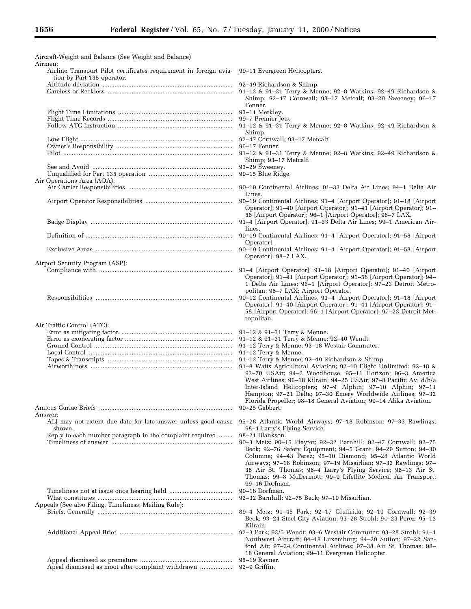-

| Aircraft-Weight and Balance (See Weight and Balance)                                                                                    |                                                                                                                                                                                                                                                                                                                                                                                                                                        |
|-----------------------------------------------------------------------------------------------------------------------------------------|----------------------------------------------------------------------------------------------------------------------------------------------------------------------------------------------------------------------------------------------------------------------------------------------------------------------------------------------------------------------------------------------------------------------------------------|
| Airmen:<br>Airline Transport Pilot certificates requirement in foreign avia- 99-11 Evergreen Helicopters.<br>tion by Part 135 operator. |                                                                                                                                                                                                                                                                                                                                                                                                                                        |
|                                                                                                                                         | 92-49 Richardson & Shimp.<br>91-12 & 91-31 Terry & Menne; 92-8 Watkins; 92-49 Richardson &<br>Shimp; 92-47 Cornwall; 93-17 Metcalf; 93-29 Sweeney; 96-17                                                                                                                                                                                                                                                                               |
|                                                                                                                                         | Fenner.<br>93-11 Merkley.                                                                                                                                                                                                                                                                                                                                                                                                              |
|                                                                                                                                         | 99-7 Premier Jets.<br>91-12 & 91-31 Terry & Menne; 92-8 Watkins; 92-49 Richardson &<br>Shimp.                                                                                                                                                                                                                                                                                                                                          |
|                                                                                                                                         | 92-47 Cornwall; 93-17 Metcalf.<br>96-17 Fenner.                                                                                                                                                                                                                                                                                                                                                                                        |
|                                                                                                                                         | 91-12 & 91-31 Terry & Menne; 92-8 Watkins; 92-49 Richardson &<br>Shimp; 93-17 Metcalf.                                                                                                                                                                                                                                                                                                                                                 |
|                                                                                                                                         | 93-29 Sweeney.<br>99-15 Blue Ridge.                                                                                                                                                                                                                                                                                                                                                                                                    |
| Air Operations Area (AOA):                                                                                                              | 90–19 Continental Airlines; 91–33 Delta Air Lines; 94–1 Delta Air<br>Lines.                                                                                                                                                                                                                                                                                                                                                            |
|                                                                                                                                         | 90-19 Continental Airlines; 91-4 [Airport Operator]; 91-18 [Airport<br>Operator]; 91-40 [Airport Operator]; 91-41 [Airport Operator]; 91-<br>58 [Airport Operator]; 96-1 [Airport Operator]; 98-7 LAX.                                                                                                                                                                                                                                 |
|                                                                                                                                         | 91-4 [Airport Operator]; 91-33 Delta Air Lines; 99-1 American Air-<br>lines.                                                                                                                                                                                                                                                                                                                                                           |
|                                                                                                                                         | 90-19 Continental Airlines; 91-4 [Airport Operator]; 91-58 [Airport<br>Operator.                                                                                                                                                                                                                                                                                                                                                       |
| Airport Security Program (ASP):                                                                                                         | 90–19 Continental Airlines; 91–4 [Airport Operator]; 91–58 [Airport<br>Operator]; 98-7 LAX.                                                                                                                                                                                                                                                                                                                                            |
|                                                                                                                                         | 91-4 [Airport Operator]; 91-18 [Airport Operator]; 91-40 [Airport<br>Operator]; 91-41 [Airport Operator]; 91-58 [Airport Operator]; 94-<br>1 Delta Air Lines; 96-1 [Airport Operator]; 97-23 Detroit Metro-<br>politan; 98-7 LAX; Airport Operator.                                                                                                                                                                                    |
|                                                                                                                                         | 90-12 Continental Airlines, 91-4 [Airport Operator]; 91-18 [Airport<br>Operator]; 91-40 [Airport Operator]; 91-41 [Airport Operator]; 91-<br>58 [Airport Operator]; 96–1 [Airport Operator]; 97–23 Detroit Met-<br>ropolitan.                                                                                                                                                                                                          |
| Air Traffic Control (ATC):                                                                                                              | 91-12 & 91-31 Terry & Menne.<br>91-12 & 91-31 Terry & Menne; 92-40 Wendt.                                                                                                                                                                                                                                                                                                                                                              |
|                                                                                                                                         | 91-12 Terry & Menne; 93-18 Westair Commuter.<br>91-12 Terry & Menne.<br>91-12 Terry & Menne; 92-49 Richardson & Shimp.<br>91-8 Watts Agricultural Aviation; 92-10 Flight Unlimited; 92-48 &                                                                                                                                                                                                                                            |
|                                                                                                                                         | 92-70 USAir; 94-2 Woodhouse; 95-11 Horizon; 96-3 America<br>West Airlines; 96-18 Kilrain; 94-25 USAir; 97-8 Pacific Av. d/b/a<br>Inter-Island Helicopters; 97-9 Alphin; 97-10 Alphin; 97-11<br>Hampton; 97-21 Delta; 97-30 Emery Worldwide Airlines; 97-32<br>Florida Propeller; 98–18 General Aviation; 99–14 Alika Aviation.<br>90–25 Gabbert.                                                                                       |
| Answer:<br>ALJ may not extent due date for late answer unless good cause<br>shown.                                                      | 95–28 Atlantic World Airways; 97–18 Robinson; 97–33 Rawlings;<br>98-4 Larry's Flying Service.                                                                                                                                                                                                                                                                                                                                          |
| Reply to each number paragraph in the complaint required                                                                                | 98–21 Blankson.<br>90-3 Metz; 90-15 Playter; 92-32 Barnhill; 92-47 Cornwall; 92-75<br>Beck; 92-76 Safety Equipment; 94-5 Grant; 94-29 Sutton; 94-30<br>Columna; 94-43 Perez; 95-10 Diamond; 95-28 Atlantic World<br>Airways; 97-18 Robinson; 97-19 Missirlian; 97-33 Rawlings; 97-<br>38 Air St. Thomas; 98-4 Larry's Flying Service; 98-13 Air St.<br>Thomas; 99-8 McDermott; 99-9 Lifeflite Medical Air Transport;<br>99-16 Dorfman. |
| Appeals (See also Filing; Timeliness; Mailing Rule):                                                                                    | 99-16 Dorfman.<br>92-32 Barnhill; 92-75 Beck; 97-19 Missirlian.                                                                                                                                                                                                                                                                                                                                                                        |
|                                                                                                                                         | 89-4 Metz; 91-45 Park; 92-17 Giuffrida; 92-19 Cornwall; 92-39<br>Beck; 93-24 Steel City Aviation; 93-28 Strohl; 94-23 Perez; 95-13                                                                                                                                                                                                                                                                                                     |
|                                                                                                                                         | Kilrain.<br>92-3 Park; 93/5 Wendt; 93-6 Westair Commuter; 93-28 Strohl; 94-4<br>Northwest Aircraft; 94–18 Luxemburg; 94–29 Sutton; 97–22 San-<br>ford Air; 97-34 Continental Airlines; 97-38 Air St. Thomas; 98-<br>18 General Aviation; 99–11 Evergreen Helicopter.                                                                                                                                                                   |
|                                                                                                                                         | 95-19 Rayner.<br>92-9 Griffin.                                                                                                                                                                                                                                                                                                                                                                                                         |

Ξ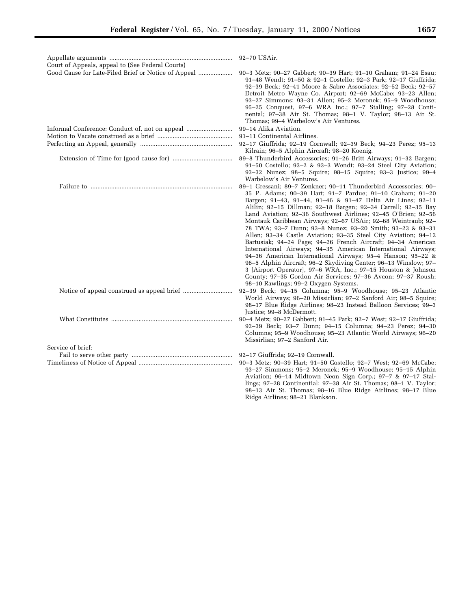| Court of Appeals, appeal to (See Federal Courts)    |                                                                                                                                                                                                                                                                                                                                                                                                                                                                                                                                                                                                                                                                                                                                                                                                                                                                                                                                                                       |
|-----------------------------------------------------|-----------------------------------------------------------------------------------------------------------------------------------------------------------------------------------------------------------------------------------------------------------------------------------------------------------------------------------------------------------------------------------------------------------------------------------------------------------------------------------------------------------------------------------------------------------------------------------------------------------------------------------------------------------------------------------------------------------------------------------------------------------------------------------------------------------------------------------------------------------------------------------------------------------------------------------------------------------------------|
| Good Cause for Late-Filed Brief or Notice of Appeal | 90-3 Metz; 90-27 Gabbert; 90-39 Hart; 91-10 Graham; 91-24 Esau;<br>91-48 Wendt; 91-50 & 92-1 Costello; 92-3 Park; 92-17 Giuffrida;<br>92-39 Beck; 92-41 Moore & Sabre Associates; 92-52 Beck; 92-57<br>Detroit Metro Wayne Co. Airport; 92-69 McCabe; 93-23 Allen;<br>93-27 Simmons; 93-31 Allen; 95-2 Meronek; 95-9 Woodhouse;<br>95-25 Conquest, 97-6 WRA Inc.; 97-7 Stalling; 97-28 Conti-<br>nental; 97-38 Air St. Thomas; 98-1 V. Taylor; 98-13 Air St.<br>Thomas; 99-4 Warbelow's Air Ventures.                                                                                                                                                                                                                                                                                                                                                                                                                                                                 |
| Informal Conference: Conduct of, not on appeal      | 99-14 Alika Aviation.                                                                                                                                                                                                                                                                                                                                                                                                                                                                                                                                                                                                                                                                                                                                                                                                                                                                                                                                                 |
|                                                     | 91–11 Continental Airlines.                                                                                                                                                                                                                                                                                                                                                                                                                                                                                                                                                                                                                                                                                                                                                                                                                                                                                                                                           |
|                                                     | 92-17 Giuffrida; 92-19 Cornwall; 92-39 Beck; 94-23 Perez; 95-13<br>Kilrain; 96-5 Alphin Aircraft; 98-20 Koenig.                                                                                                                                                                                                                                                                                                                                                                                                                                                                                                                                                                                                                                                                                                                                                                                                                                                       |
|                                                     | 89-8 Thunderbird Accessories; 91-26 Britt Airways; 91-32 Bargen;<br>91-50 Costello; 93-2 & 93-3 Wendt; 93-24 Steel City Aviation;<br>93-32 Nunez; 98-5 Squire; 98-15 Squire; 93-3 Justice; 99-4<br>Warbelow's Air Ventures.                                                                                                                                                                                                                                                                                                                                                                                                                                                                                                                                                                                                                                                                                                                                           |
|                                                     | 89-1 Gressani; 89-7 Zenkner; 90-11 Thunderbird Accessories; 90-<br>35 P. Adams; 90-39 Hart; 91-7 Pardue; 91-10 Graham; 91-20<br>Bargen; 91-43, 91-44, 91-46 & 91-47 Delta Air Lines; 92-11<br>Alilin; 92-15 Dillman; 92-18 Bargen; 92-34 Carrell; 92-35 Bay<br>Land Aviation; 92-36 Southwest Airlines; 92-45 O'Brien; 92-56<br>Montauk Caribbean Airways; 92-67 USAir; 92-68 Weintraub; 92-<br>78 TWA; 93-7 Dunn; 93-8 Nunez; 93-20 Smith; 93-23 & 93-31<br>Allen; 93-34 Castle Aviation; 93-35 Steel City Aviation; 94-12<br>Bartusiak; 94-24 Page; 94-26 French Aircraft; 94-34 American<br>International Airways; 94–35 American International Airways;<br>94-36 American International Airways; 95-4 Hanson; 95-22 &<br>96-5 Alphin Aircraft; 96-2 Skydiving Center; 96-13 Winslow; 97-<br>3 [Airport Operator], 97-6 WRA, Inc.; 97-15 Houston & Johnson<br>County; 97-35 Gordon Air Services; 97-36 Avcon; 97-37 Roush;<br>98-10 Rawlings; 99-2 Oxygen Systems. |
|                                                     | 92-39 Beck; 94-15 Columna; 95-9 Woodhouse; 95-23 Atlantic<br>World Airways; 96-20 Missirlian; 97-2 Sanford Air; 98-5 Squire;<br>98-17 Blue Ridge Airlines; 98-23 Instead Balloon Services; 99-3<br>Justice; 99-8 McDermott.                                                                                                                                                                                                                                                                                                                                                                                                                                                                                                                                                                                                                                                                                                                                           |
|                                                     | 90-4 Metz; 90-27 Gabbert; 91-45 Park; 92-7 West; 92-17 Giuffrida;<br>92-39 Beck; 93-7 Dunn; 94-15 Columna; 94-23 Perez; 94-30<br>Columna; 95-9 Woodhouse; 95-23 Atlantic World Airways; 96-20<br>Missirlian; 97-2 Sanford Air.                                                                                                                                                                                                                                                                                                                                                                                                                                                                                                                                                                                                                                                                                                                                        |
| Service of brief:                                   |                                                                                                                                                                                                                                                                                                                                                                                                                                                                                                                                                                                                                                                                                                                                                                                                                                                                                                                                                                       |
|                                                     | 92-17 Giuffrida; 92-19 Cornwall.                                                                                                                                                                                                                                                                                                                                                                                                                                                                                                                                                                                                                                                                                                                                                                                                                                                                                                                                      |
|                                                     | 90-3 Metz; 90-39 Hart; 91-50 Costello; 92-7 West; 92-69 McCabe;<br>93-27 Simmons; 95-2 Meronek; 95-9 Woodhouse; 95-15 Alphin<br>Aviation; 96-14 Midtown Neon Sign Corp.; 97-7 & 97-17 Stal-<br>lings; 97-28 Continential; 97-38 Air St. Thomas; 98-1 V. Taylor;                                                                                                                                                                                                                                                                                                                                                                                                                                                                                                                                                                                                                                                                                                       |

98–13 Air St. Thomas; 98–16 Blue Ridge Airlines; 98–17 Blue

Ridge Airlines; 98–21 Blankson.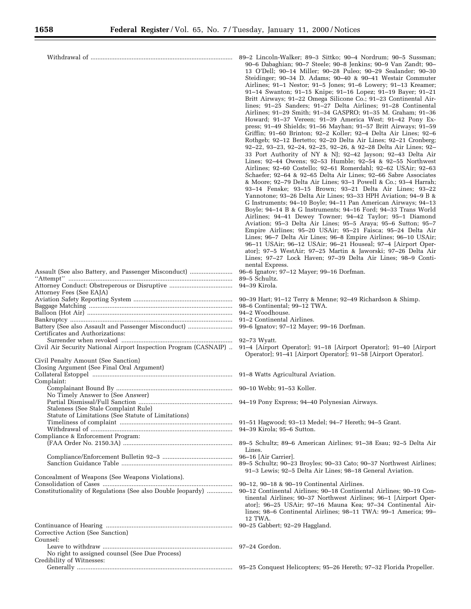|                                                                                                                                     | 89-2 Lincoln-Walker; 89-3 Sittko; 90-4 Nordrum; 90-5 Sussman;<br>90-6 Dabaghian; 90-7 Steele; 90-8 Jenkins; 90-9 Van Zandt; 90-<br>13 O'Dell; 90-14 Miller; 90-28 Puleo; 90-29 Sealander; 90-30<br>Steidinger; 90-34 D. Adams; 90-40 & 90-41 Westair Commuter<br>Airlines; 91-1 Nestor; 91-5 Jones; 91-6 Lowery; 91-13 Kreamer;<br>91-14 Swanton; 91-15 Knipe; 91-16 Lopez; 91-19 Bayer; 91-21<br>Britt Airways; 91-22 Omega Silicone Co.; 91-23 Continental Air-<br>lines; 91-25 Sanders; 91-27 Delta Airlines; 91-28 Continental<br>Airlines; 91-29 Smith; 91-34 GASPRO; 91-35 M. Graham; 91-36<br>Howard; 91-37 Vereen; 91-39 America West; 91-42 Pony Ex-<br>press; 91–49 Shields; 91–56 Mayhan; 91–57 Britt Airways; 91–59<br>Griffin; 91-60 Brinton; 92-2 Koller; 92-4 Delta Air Lines; 92-6<br>Rothgeb; 92-12 Bertetto; 92-20 Delta Air Lines; 92-21 Cronberg;<br>92-22, 93-23, 92-24, 92-25, 92-26, & 92-28 Delta Air Lines; 92-<br>33 Port Authority of NY & NJ; 92-42 Jayson; 92-43 Delta Air<br>Lines; 92-44 Owens; 92-53 Humble; 92-54 & 92-55 Northwest<br>Airlines; 92-60 Costello; 92-61 Romerdahl; 92-62 USAir; 92-63<br>Schaefer; 92-64 & 92-65 Delta Air Lines; 92-66 Sabre Associates<br>& Moore; 92-79 Delta Air Lines; 93-1 Powell & Co.; 93-4 Harrah;<br>93-14 Fenske; 93-15 Brown; 93-21 Delta Air Lines; 93-22<br>Yannotone; 93-26 Delta Air Lines; 93-33 HPH Aviation; 94-9 B &<br>G Instruments; 94-10 Boyle; 94-11 Pan American Airways; 94-13<br>Boyle; 94-14 B & G Instruments; 94-16 Ford; 94-33 Trans World<br>Airlines; 94-41 Dewey Towner; 94-42 Taylor; 95-1 Diamond<br>Aviation; 95-3 Delta Air Lines; 95-5 Araya; 95-6 Sutton; 95-7<br>Empire Airlines; 95-20 USAir; 95-21 Faisca; 95-24 Delta Air |
|-------------------------------------------------------------------------------------------------------------------------------------|----------------------------------------------------------------------------------------------------------------------------------------------------------------------------------------------------------------------------------------------------------------------------------------------------------------------------------------------------------------------------------------------------------------------------------------------------------------------------------------------------------------------------------------------------------------------------------------------------------------------------------------------------------------------------------------------------------------------------------------------------------------------------------------------------------------------------------------------------------------------------------------------------------------------------------------------------------------------------------------------------------------------------------------------------------------------------------------------------------------------------------------------------------------------------------------------------------------------------------------------------------------------------------------------------------------------------------------------------------------------------------------------------------------------------------------------------------------------------------------------------------------------------------------------------------------------------------------------------------------------------------------------------------------------------------------------------------------------------------------|
|                                                                                                                                     | Lines; 96-7 Delta Air Lines; 96-8 Empire Airlines; 96-10 USAir;<br>96-11 USAir; 96-12 USAir; 96-21 Houseal; 97-4 [Airport Oper-<br>ator]; 97-5 WestAir; 97-25 Martin & Jaworski; 97-26 Delta Air<br>Lines; 97-27 Lock Haven; 97-39 Delta Air Lines; 98-9 Conti-<br>nental Express.                                                                                                                                                                                                                                                                                                                                                                                                                                                                                                                                                                                                                                                                                                                                                                                                                                                                                                                                                                                                                                                                                                                                                                                                                                                                                                                                                                                                                                                     |
| Assault (See also Battery, and Passenger Misconduct)                                                                                | 96-6 Ignatov; 97-12 Mayer; 99-16 Dorfman.                                                                                                                                                                                                                                                                                                                                                                                                                                                                                                                                                                                                                                                                                                                                                                                                                                                                                                                                                                                                                                                                                                                                                                                                                                                                                                                                                                                                                                                                                                                                                                                                                                                                                              |
|                                                                                                                                     | 89–5 Schultz.                                                                                                                                                                                                                                                                                                                                                                                                                                                                                                                                                                                                                                                                                                                                                                                                                                                                                                                                                                                                                                                                                                                                                                                                                                                                                                                                                                                                                                                                                                                                                                                                                                                                                                                          |
|                                                                                                                                     | 94–39 Kirola.                                                                                                                                                                                                                                                                                                                                                                                                                                                                                                                                                                                                                                                                                                                                                                                                                                                                                                                                                                                                                                                                                                                                                                                                                                                                                                                                                                                                                                                                                                                                                                                                                                                                                                                          |
| Attorney Fees (See EAJA)                                                                                                            |                                                                                                                                                                                                                                                                                                                                                                                                                                                                                                                                                                                                                                                                                                                                                                                                                                                                                                                                                                                                                                                                                                                                                                                                                                                                                                                                                                                                                                                                                                                                                                                                                                                                                                                                        |
|                                                                                                                                     |                                                                                                                                                                                                                                                                                                                                                                                                                                                                                                                                                                                                                                                                                                                                                                                                                                                                                                                                                                                                                                                                                                                                                                                                                                                                                                                                                                                                                                                                                                                                                                                                                                                                                                                                        |
|                                                                                                                                     |                                                                                                                                                                                                                                                                                                                                                                                                                                                                                                                                                                                                                                                                                                                                                                                                                                                                                                                                                                                                                                                                                                                                                                                                                                                                                                                                                                                                                                                                                                                                                                                                                                                                                                                                        |
|                                                                                                                                     |                                                                                                                                                                                                                                                                                                                                                                                                                                                                                                                                                                                                                                                                                                                                                                                                                                                                                                                                                                                                                                                                                                                                                                                                                                                                                                                                                                                                                                                                                                                                                                                                                                                                                                                                        |
| Battery (See also Assault and Passenger Misconduct)                                                                                 | 99-6 Ignatov; 97-12 Mayer; 99-16 Dorfman.                                                                                                                                                                                                                                                                                                                                                                                                                                                                                                                                                                                                                                                                                                                                                                                                                                                                                                                                                                                                                                                                                                                                                                                                                                                                                                                                                                                                                                                                                                                                                                                                                                                                                              |
| Certificates and Authorizations:                                                                                                    |                                                                                                                                                                                                                                                                                                                                                                                                                                                                                                                                                                                                                                                                                                                                                                                                                                                                                                                                                                                                                                                                                                                                                                                                                                                                                                                                                                                                                                                                                                                                                                                                                                                                                                                                        |
|                                                                                                                                     |                                                                                                                                                                                                                                                                                                                                                                                                                                                                                                                                                                                                                                                                                                                                                                                                                                                                                                                                                                                                                                                                                                                                                                                                                                                                                                                                                                                                                                                                                                                                                                                                                                                                                                                                        |
| Civil Air Security National Airport Inspection Program (CASNAIP)  91-4 [Airport Operator]; 91-18 [Airport Operator]; 91-40 [Airport |                                                                                                                                                                                                                                                                                                                                                                                                                                                                                                                                                                                                                                                                                                                                                                                                                                                                                                                                                                                                                                                                                                                                                                                                                                                                                                                                                                                                                                                                                                                                                                                                                                                                                                                                        |
| Civil Penalty Amount (See Sanction)                                                                                                 | Operator]; 91-41 [Airport Operator]; 91-58 [Airport Operator].                                                                                                                                                                                                                                                                                                                                                                                                                                                                                                                                                                                                                                                                                                                                                                                                                                                                                                                                                                                                                                                                                                                                                                                                                                                                                                                                                                                                                                                                                                                                                                                                                                                                         |
| Closing Argument (See Final Oral Argument)                                                                                          |                                                                                                                                                                                                                                                                                                                                                                                                                                                                                                                                                                                                                                                                                                                                                                                                                                                                                                                                                                                                                                                                                                                                                                                                                                                                                                                                                                                                                                                                                                                                                                                                                                                                                                                                        |
|                                                                                                                                     |                                                                                                                                                                                                                                                                                                                                                                                                                                                                                                                                                                                                                                                                                                                                                                                                                                                                                                                                                                                                                                                                                                                                                                                                                                                                                                                                                                                                                                                                                                                                                                                                                                                                                                                                        |
| Complaint:                                                                                                                          |                                                                                                                                                                                                                                                                                                                                                                                                                                                                                                                                                                                                                                                                                                                                                                                                                                                                                                                                                                                                                                                                                                                                                                                                                                                                                                                                                                                                                                                                                                                                                                                                                                                                                                                                        |
|                                                                                                                                     |                                                                                                                                                                                                                                                                                                                                                                                                                                                                                                                                                                                                                                                                                                                                                                                                                                                                                                                                                                                                                                                                                                                                                                                                                                                                                                                                                                                                                                                                                                                                                                                                                                                                                                                                        |
| No Timely Answer to (See Answer)                                                                                                    |                                                                                                                                                                                                                                                                                                                                                                                                                                                                                                                                                                                                                                                                                                                                                                                                                                                                                                                                                                                                                                                                                                                                                                                                                                                                                                                                                                                                                                                                                                                                                                                                                                                                                                                                        |
|                                                                                                                                     |                                                                                                                                                                                                                                                                                                                                                                                                                                                                                                                                                                                                                                                                                                                                                                                                                                                                                                                                                                                                                                                                                                                                                                                                                                                                                                                                                                                                                                                                                                                                                                                                                                                                                                                                        |
| Staleness (See Stale Complaint Rule)<br>Statute of Limitations (See Statute of Limitations)                                         |                                                                                                                                                                                                                                                                                                                                                                                                                                                                                                                                                                                                                                                                                                                                                                                                                                                                                                                                                                                                                                                                                                                                                                                                                                                                                                                                                                                                                                                                                                                                                                                                                                                                                                                                        |
|                                                                                                                                     |                                                                                                                                                                                                                                                                                                                                                                                                                                                                                                                                                                                                                                                                                                                                                                                                                                                                                                                                                                                                                                                                                                                                                                                                                                                                                                                                                                                                                                                                                                                                                                                                                                                                                                                                        |
|                                                                                                                                     | 94–39 Kirola; 95–6 Sutton.                                                                                                                                                                                                                                                                                                                                                                                                                                                                                                                                                                                                                                                                                                                                                                                                                                                                                                                                                                                                                                                                                                                                                                                                                                                                                                                                                                                                                                                                                                                                                                                                                                                                                                             |
| Compliance & Enforcement Program:                                                                                                   |                                                                                                                                                                                                                                                                                                                                                                                                                                                                                                                                                                                                                                                                                                                                                                                                                                                                                                                                                                                                                                                                                                                                                                                                                                                                                                                                                                                                                                                                                                                                                                                                                                                                                                                                        |
|                                                                                                                                     |                                                                                                                                                                                                                                                                                                                                                                                                                                                                                                                                                                                                                                                                                                                                                                                                                                                                                                                                                                                                                                                                                                                                                                                                                                                                                                                                                                                                                                                                                                                                                                                                                                                                                                                                        |
|                                                                                                                                     | Lines.                                                                                                                                                                                                                                                                                                                                                                                                                                                                                                                                                                                                                                                                                                                                                                                                                                                                                                                                                                                                                                                                                                                                                                                                                                                                                                                                                                                                                                                                                                                                                                                                                                                                                                                                 |
|                                                                                                                                     |                                                                                                                                                                                                                                                                                                                                                                                                                                                                                                                                                                                                                                                                                                                                                                                                                                                                                                                                                                                                                                                                                                                                                                                                                                                                                                                                                                                                                                                                                                                                                                                                                                                                                                                                        |
|                                                                                                                                     | 89–5 Schultz; 90–23 Broyles; 90–33 Cato; 90–37 Northwest Airlines;                                                                                                                                                                                                                                                                                                                                                                                                                                                                                                                                                                                                                                                                                                                                                                                                                                                                                                                                                                                                                                                                                                                                                                                                                                                                                                                                                                                                                                                                                                                                                                                                                                                                     |
| Concealment of Weapons (See Weapons Violations).                                                                                    | 91-3 Lewis; 92-5 Delta Air Lines; 98-18 General Aviation.                                                                                                                                                                                                                                                                                                                                                                                                                                                                                                                                                                                                                                                                                                                                                                                                                                                                                                                                                                                                                                                                                                                                                                                                                                                                                                                                                                                                                                                                                                                                                                                                                                                                              |
|                                                                                                                                     | 90-12, 90-18 & 90-19 Continental Airlines.                                                                                                                                                                                                                                                                                                                                                                                                                                                                                                                                                                                                                                                                                                                                                                                                                                                                                                                                                                                                                                                                                                                                                                                                                                                                                                                                                                                                                                                                                                                                                                                                                                                                                             |
| Constitutionality of Regulations (See also Double Jeopardy)                                                                         | 90–12 Continental Airlines; 90–18 Continental Airlines; 90–19 Con-<br>tinental Airlines; 90–37 Northwest Airlines; 96–1 [Airport Oper-<br>ator]; 96-25 USAir; 97-16 Mauna Kea; 97-34 Continental Air-<br>lines; 98–6 Continental Airlines; 98–11 TWA: 99–1 America; 99–<br>12 TWA.                                                                                                                                                                                                                                                                                                                                                                                                                                                                                                                                                                                                                                                                                                                                                                                                                                                                                                                                                                                                                                                                                                                                                                                                                                                                                                                                                                                                                                                     |
|                                                                                                                                     | 90–25 Gabbert; 92–29 Haggland.                                                                                                                                                                                                                                                                                                                                                                                                                                                                                                                                                                                                                                                                                                                                                                                                                                                                                                                                                                                                                                                                                                                                                                                                                                                                                                                                                                                                                                                                                                                                                                                                                                                                                                         |
| Corrective Action (See Sanction)                                                                                                    |                                                                                                                                                                                                                                                                                                                                                                                                                                                                                                                                                                                                                                                                                                                                                                                                                                                                                                                                                                                                                                                                                                                                                                                                                                                                                                                                                                                                                                                                                                                                                                                                                                                                                                                                        |
| Counsel:                                                                                                                            |                                                                                                                                                                                                                                                                                                                                                                                                                                                                                                                                                                                                                                                                                                                                                                                                                                                                                                                                                                                                                                                                                                                                                                                                                                                                                                                                                                                                                                                                                                                                                                                                                                                                                                                                        |
|                                                                                                                                     |                                                                                                                                                                                                                                                                                                                                                                                                                                                                                                                                                                                                                                                                                                                                                                                                                                                                                                                                                                                                                                                                                                                                                                                                                                                                                                                                                                                                                                                                                                                                                                                                                                                                                                                                        |
| No right to assigned counsel (See Due Process)<br>Credibility of Witnesses:                                                         |                                                                                                                                                                                                                                                                                                                                                                                                                                                                                                                                                                                                                                                                                                                                                                                                                                                                                                                                                                                                                                                                                                                                                                                                                                                                                                                                                                                                                                                                                                                                                                                                                                                                                                                                        |

Generally ........................................................................................... 95–25 Conquest Helicopters; 95–26 Hereth; 97–32 Florida Propeller.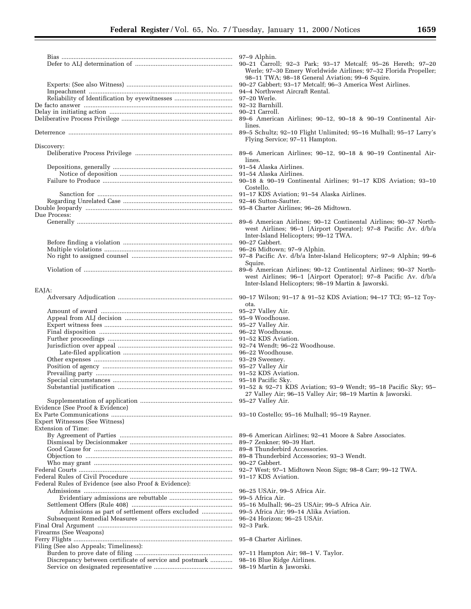|                                                         | 97–9 Alphin.<br>90-21 Carroll; 92-3 Park; 93-17 Metcalf; 95-26 Hereth; 97-20                                                |
|---------------------------------------------------------|-----------------------------------------------------------------------------------------------------------------------------|
|                                                         | Werle; 97-30 Emery Worldwide Airlines; 97-32 Florida Propeller;                                                             |
|                                                         | 98-11 TWA; 98-18 General Aviation; 99-6 Squire.<br>90-27 Gabbert; 93-17 Metcalf; 96-3 America West Airlines.                |
|                                                         | 94–4 Northwest Aircraft Rental.                                                                                             |
|                                                         | 97-20 Werle.                                                                                                                |
|                                                         | 92-32 Barnhill.<br>90–21 Carroll.                                                                                           |
|                                                         | 89–6 American Airlines; 90–12, 90–18 & 90–19 Continental Air-                                                               |
|                                                         | lines.<br>89-5 Schultz; 92-10 Flight Unlimited; 95-16 Mulhall; 95-17 Larry's                                                |
|                                                         | Flying Service; 97-11 Hampton.                                                                                              |
| Discovery:                                              | 89–6 American Airlines; 90–12, 90–18 & 90–19 Continental Air-                                                               |
|                                                         | lines.                                                                                                                      |
|                                                         | 91–54 Alaska Airlines.<br>91–54 Alaska Airlines.                                                                            |
|                                                         | 90-18 & 90-19 Continental Airlines; 91-17 KDS Aviation; 93-10                                                               |
|                                                         | Costello.<br>91-17 KDS Aviation; 91-54 Alaska Airlines.                                                                     |
|                                                         | 92-46 Sutton-Sautter.                                                                                                       |
|                                                         | 95–8 Charter Airlines; 96–26 Midtown.                                                                                       |
| Due Process:                                            | 89-6 American Airlines; 90-12 Continental Airlines; 90-37 North-                                                            |
|                                                         | west Airlines; 96-1 [Airport Operator]; 97-8 Pacific Av. d/b/a                                                              |
|                                                         | Inter-Island Helicopters; 99-12 TWA.                                                                                        |
|                                                         | 90-27 Gabbert.<br>96–26 Midtown; 97–9 Alphin.                                                                               |
|                                                         | 97-8 Pacific Av. d/b/a Inter-Island Helicopters; 97-9 Alphin; 99-6                                                          |
|                                                         | Squire.<br>89–6 American Airlines; 90–12 Continental Airlines; 90–37 North-                                                 |
|                                                         | west Airlines; 96-1 [Airport Operator]; 97-8 Pacific Av. d/b/a                                                              |
|                                                         | Inter-Island Helicopters; 98-19 Martin & Jaworski.                                                                          |
| EAJA:                                                   | 90–17 Wilson; 91–17 & 91–52 KDS Aviation; 94–17 TCI; 95–12 Toy-                                                             |
|                                                         | ota.                                                                                                                        |
|                                                         | 95–27 Valley Air.<br>95-9 Woodhouse.                                                                                        |
|                                                         | 95-27 Valley Air.                                                                                                           |
|                                                         | 96-22 Woodhouse.<br>91-52 KDS Aviation.                                                                                     |
|                                                         | 92-74 Wendt; 96-22 Woodhouse.                                                                                               |
|                                                         | 96–22 Woodhouse.                                                                                                            |
|                                                         | 93-29 Sweeney.<br>95-27 Valley Air                                                                                          |
|                                                         | 91-52 KDS Aviation.                                                                                                         |
|                                                         | 95–18 Pacific Sky.                                                                                                          |
|                                                         | 91–52 & 92–71 KDS Aviation; 93–9 Wendt; 95–18 Pacific Sky; 95–<br>27 Valley Air; 96-15 Valley Air; 98-19 Martin & Jaworski. |
|                                                         |                                                                                                                             |
| Evidence (See Proof & Evidence)                         |                                                                                                                             |
| <b>Expert Witnesses (See Witness)</b>                   |                                                                                                                             |
| Extension of Time:                                      |                                                                                                                             |
|                                                         | 89–6 American Airlines; 92–41 Moore & Sabre Associates.<br>89-7 Zenkner; 90-39 Hart.                                        |
|                                                         | 89-8 Thunderbird Accessories.                                                                                               |
|                                                         | 89-8 Thunderbird Accessories; 93-3 Wendt.                                                                                   |
|                                                         | 90–27 Gabbert.<br>92–7 West; 97–1 Midtown Neon Sign; 98–8 Carr; 99–12 TWA.                                                  |
|                                                         | 91-17 KDS Aviation.                                                                                                         |
| Federal Rules of Evidence (see also Proof & Evidence):  | 96–25 USAir, 99–5 Africa Air.                                                                                               |
|                                                         | 99–5 Africa Air.                                                                                                            |
|                                                         | 95-16 Mulhall; 96-25 USAir; 99-5 Africa Air.                                                                                |
| Admissions as part of settlement offers excluded        | 99–5 Africa Air; 99–14 Alika Aviation.<br>96-24 Horizon; 96-25 USAir.                                                       |
|                                                         | 92-3 Park.                                                                                                                  |
| Firearms (See Weapons)                                  | 95–8 Charter Airlines.                                                                                                      |
| Filing (See also Appeals; Timeliness):                  |                                                                                                                             |
|                                                         | 97–11 Hampton Air; 98–1 V. Taylor.                                                                                          |
| Discrepancy between certificate of service and postmark | 98-16 Blue Ridge Airlines.<br>98–19 Martin & Jaworski.                                                                      |
|                                                         |                                                                                                                             |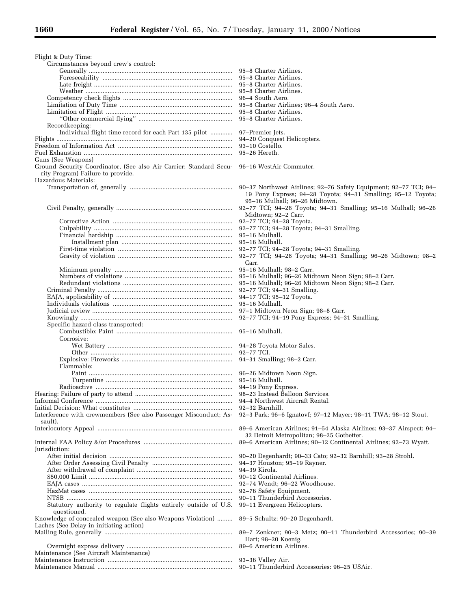| Flight & Duty Time:                                                       |                                                                                                                 |
|---------------------------------------------------------------------------|-----------------------------------------------------------------------------------------------------------------|
| Circumstances beyond crew's control:                                      | 95–8 Charter Airlines.                                                                                          |
|                                                                           | 95–8 Charter Airlines.                                                                                          |
|                                                                           | 95–8 Charter Airlines.                                                                                          |
|                                                                           | 95–8 Charter Airlines.                                                                                          |
|                                                                           | 96–4 South Aero.                                                                                                |
|                                                                           | 95–8 Charter Airlines; 96–4 South Aero.<br>95–8 Charter Airlines.                                               |
|                                                                           | 95–8 Charter Airlines.                                                                                          |
| Recordkeeping:                                                            |                                                                                                                 |
| Individual flight time record for each Part 135 pilot                     | 97-Premier Jets.                                                                                                |
|                                                                           | 94-20 Conquest Helicopters.                                                                                     |
|                                                                           | 93–10 Costello.<br>$95-26$ Hereth.                                                                              |
| Guns (See Weapons)                                                        |                                                                                                                 |
| Ground Security Coordinator, (See also Air Carrier; Standard Secu-        | 96–16 WestAir Commuter.                                                                                         |
| rity Program) Failure to provide.                                         |                                                                                                                 |
| Hazardous Materials:                                                      |                                                                                                                 |
|                                                                           | 19 Pony Express; 94-28 Toyota; 94-31 Smalling; 95-12 Toyota;                                                    |
|                                                                           | 95-16 Mulhall; 96-26 Midtown.                                                                                   |
|                                                                           |                                                                                                                 |
|                                                                           | Midtown; 92-2 Carr.                                                                                             |
|                                                                           |                                                                                                                 |
|                                                                           |                                                                                                                 |
|                                                                           | 95–16 Mulhall.                                                                                                  |
|                                                                           | 92-77 TCI; 94-28 Toyota; 94-31 Smalling.                                                                        |
|                                                                           | 92-77 TCI; 94-28 Toyota; 94-31 Smalling; 96-26 Midtown; 98-2                                                    |
|                                                                           | Carr.                                                                                                           |
|                                                                           | 95–16 Mulhall; 98–2 Carr.<br>95-16 Mulhall; 96-26 Midtown Neon Sign; 98-2 Carr.                                 |
|                                                                           | 95-16 Mulhall; 96-26 Midtown Neon Sign; 98-2 Carr.                                                              |
|                                                                           | 92-77 TCI; 94-31 Smalling.                                                                                      |
|                                                                           | 94-17 TCI; 95-12 Toyota.                                                                                        |
|                                                                           | 95–16 Mulhall.                                                                                                  |
|                                                                           | 97-1 Midtown Neon Sign; 98-8 Carr.<br>92-77 TCI; 94-19 Pony Express; 94-31 Smalling.                            |
| Specific hazard class transported:                                        |                                                                                                                 |
|                                                                           |                                                                                                                 |
| Corrosive:                                                                |                                                                                                                 |
|                                                                           | 92-77 TCI.                                                                                                      |
|                                                                           |                                                                                                                 |
| Flammable:                                                                |                                                                                                                 |
|                                                                           |                                                                                                                 |
|                                                                           |                                                                                                                 |
|                                                                           |                                                                                                                 |
|                                                                           |                                                                                                                 |
|                                                                           | 92–32 Barnhill.                                                                                                 |
| Interference with crewmembers (See also Passenger Misconduct; As-         | 92-3 Park; 96-6 Ignatovf; 97-12 Mayer; 98-11 TWA; 98-12 Stout.                                                  |
| sault).                                                                   |                                                                                                                 |
|                                                                           | 89–6 American Airlines; 91–54 Alaska Airlines; 93–37 Airspect; 94–<br>32 Detroit Metropolitan; 98-25 Gotbetter. |
|                                                                           | 89–6 American Airlines; 90–12 Continental Airlines; 92–73 Wyatt.                                                |
| Jurisdiction:                                                             |                                                                                                                 |
|                                                                           | 90-20 Degenhardt; 90-33 Cato; 92-32 Barnhill; 93-28 Strohl.                                                     |
|                                                                           | 94-37 Houston; 95-19 Rayner.                                                                                    |
|                                                                           | 94-39 Kirola.<br>90–12 Continental Airlines.                                                                    |
|                                                                           | 92–74 Wendt; 96–22 Woodhouse.                                                                                   |
|                                                                           | 92-76 Safety Equipment.                                                                                         |
|                                                                           | 90–11 Thunderbird Accessories.                                                                                  |
| Statutory authority to regulate flights entirely outside of U.S.          | 99–11 Evergreen Helicopters.                                                                                    |
| questioned.<br>Knowledge of concealed weapon (See also Weapons Violation) | 89-5 Schultz; 90-20 Degenhardt.                                                                                 |
| Laches (See Delay in initiating action)                                   |                                                                                                                 |
|                                                                           | 89–7 Zenkner; 90–3 Metz; 90–11 Thunderbird Accessories; 90–39                                                   |
|                                                                           | Hart; 98-20 Koenig.                                                                                             |
| Maintenance (See Aircraft Maintenance)                                    | 89–6 American Airlines.                                                                                         |
|                                                                           | 93–36 Valley Air.                                                                                               |
|                                                                           | 90-11 Thunderbird Accessories: 96-25 USAir.                                                                     |
|                                                                           |                                                                                                                 |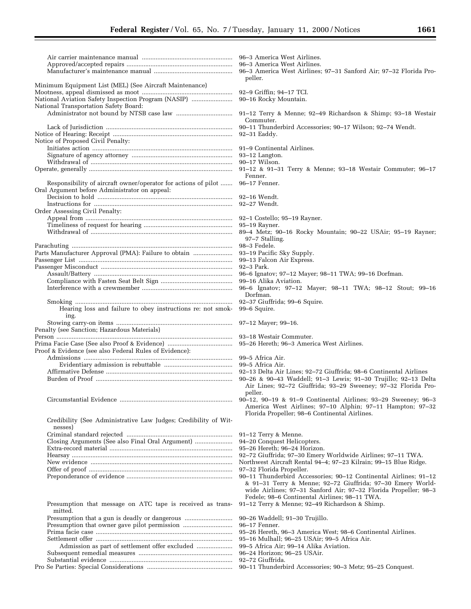|                                                                                                                                | peller.                                                                                                                                                                                           |
|--------------------------------------------------------------------------------------------------------------------------------|---------------------------------------------------------------------------------------------------------------------------------------------------------------------------------------------------|
| Minimum Equipment List (MEL) (See Aircraft Maintenance)                                                                        |                                                                                                                                                                                                   |
|                                                                                                                                |                                                                                                                                                                                                   |
| National Transportation Safety Board:                                                                                          |                                                                                                                                                                                                   |
|                                                                                                                                | Commuter.                                                                                                                                                                                         |
|                                                                                                                                |                                                                                                                                                                                                   |
|                                                                                                                                |                                                                                                                                                                                                   |
| Notice of Proposed Civil Penalty:                                                                                              |                                                                                                                                                                                                   |
|                                                                                                                                |                                                                                                                                                                                                   |
|                                                                                                                                | 90–17 Wilson.                                                                                                                                                                                     |
|                                                                                                                                | 91-12 & 91-31 Terry & Menne; 93-18 Westair Commuter; 96-17<br>Fenner.                                                                                                                             |
| Responsibility of aircraft owner/operator for actions of pilot  96-17 Fenner.<br>Oral Argument before Administrator on appeal: |                                                                                                                                                                                                   |
|                                                                                                                                |                                                                                                                                                                                                   |
| Order Assessing Civil Penalty:                                                                                                 |                                                                                                                                                                                                   |
|                                                                                                                                |                                                                                                                                                                                                   |
|                                                                                                                                |                                                                                                                                                                                                   |
|                                                                                                                                | 89–4 Metz; 90–16 Rocky Mountain; 90–22 USAir; 95–19 Rayner;<br>97-7 Stalling.                                                                                                                     |
| Parts Manufacturer Approval (PMA): Failure to obtain  93–19 Pacific Sky Supply.                                                | 98-3 Fedele.                                                                                                                                                                                      |
|                                                                                                                                | 99-13 Falcon Air Express.                                                                                                                                                                         |
|                                                                                                                                |                                                                                                                                                                                                   |
|                                                                                                                                |                                                                                                                                                                                                   |
|                                                                                                                                |                                                                                                                                                                                                   |
|                                                                                                                                | Dorfman.                                                                                                                                                                                          |
| Hearing loss and failure to obey instructions re: not smok- 99-6 Squire.<br>ing.                                               |                                                                                                                                                                                                   |
|                                                                                                                                |                                                                                                                                                                                                   |
| Penalty (see Sanction; Hazardous Materials)                                                                                    |                                                                                                                                                                                                   |
|                                                                                                                                |                                                                                                                                                                                                   |
| Proof & Evidence (see also Federal Rules of Evidence):                                                                         |                                                                                                                                                                                                   |
|                                                                                                                                |                                                                                                                                                                                                   |
|                                                                                                                                |                                                                                                                                                                                                   |
|                                                                                                                                | 92-13 Delta Air Lines; 92-72 Giuffrida; 98-6 Continental Airlines                                                                                                                                 |
|                                                                                                                                | 90-26 & 90-43 Waddell; 91-3 Lewis; 91-30 Trujillo; 92-13 Delta<br>Air Lines; 92-72 Giuffrida; 93-29 Sweeney; 97-32 Florida Pro-<br>peller.                                                        |
|                                                                                                                                | 90-12, 90-19 & 91-9 Continental Airlines; 93-29 Sweeney; 96-3                                                                                                                                     |
|                                                                                                                                | America West Airlines; 97-10 Alphin; 97-11 Hampton; 97-32<br>Florida Propeller; 98-6 Continental Airlines.                                                                                        |
| Credibility (See Administrative Law Judges; Credibility of Wit-<br>nesses)                                                     |                                                                                                                                                                                                   |
|                                                                                                                                | 91-12 Terry & Menne.                                                                                                                                                                              |
|                                                                                                                                | 94-20 Conquest Helicopters.<br>95-26 Hereth; 96-24 Horizon.                                                                                                                                       |
|                                                                                                                                | 92-72 Giuffrida; 97-30 Emery Worldwide Airlines; 97-11 TWA.                                                                                                                                       |
|                                                                                                                                | Northwest Aircraft Rental 94-4; 97-23 Kilrain; 99-15 Blue Ridge.                                                                                                                                  |
|                                                                                                                                | 97–32 Florida Propeller.                                                                                                                                                                          |
|                                                                                                                                | 90-11 Thunderbird Accessories; 90-12 Continental Airlines; 91-12<br>& 91-31 Terry & Menne; 92-72 Giuffrida; 97-30 Emery World-<br>wide Airlines; 97-31 Sanford Air; 97-32 Florida Propeller; 98-3 |
| Presumption that message on ATC tape is received as trans-<br>mitted.                                                          | Fedele; 98-6 Continental Airlines; 98-11 TWA.<br>91–12 Terry & Menne; 92–49 Richardson & Shimp.                                                                                                   |
| Presumption that a gun is deadly or dangerous                                                                                  | 90-26 Waddell; 91-30 Trujillo.<br>96-17 Fenner.                                                                                                                                                   |
|                                                                                                                                | 95-26 Hereth, 96-3 America West; 98-6 Continental Airlines.                                                                                                                                       |
|                                                                                                                                | 95-16 Mulhall; 96-25 USAir; 99-5 Africa Air.                                                                                                                                                      |
|                                                                                                                                | 99–5 Africa Air; 99–14 Alika Aviation.<br>96-24 Horizon; 96-25 USAir.                                                                                                                             |
|                                                                                                                                |                                                                                                                                                                                                   |

- Substantial evidence ........................................................................ 92–72 Giuffrida.
- Pro Se Parties: Special Considerations .................................................. 90–11 Thunderbird Accessories; 90–3 Metz; 95–25 Conquest.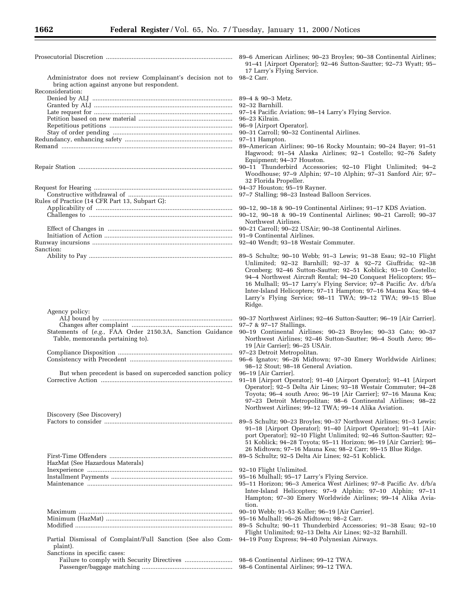|                                                                                                                                | 89–6 American Airlines; 90–23 Broyles; 90–38 Continental Airlines;<br>91-41 [Airport Operator]; 92-46 Sutton-Sautter; 92-73 Wyatt; 95-<br>17 Larry's Flying Service.                                                                                                                                                                                                                                   |
|--------------------------------------------------------------------------------------------------------------------------------|--------------------------------------------------------------------------------------------------------------------------------------------------------------------------------------------------------------------------------------------------------------------------------------------------------------------------------------------------------------------------------------------------------|
| Administrator does not review Complainant's decision not to<br>bring action against anyone but respondent.<br>Reconsideration: | 98-2 Carr.                                                                                                                                                                                                                                                                                                                                                                                             |
|                                                                                                                                |                                                                                                                                                                                                                                                                                                                                                                                                        |
|                                                                                                                                |                                                                                                                                                                                                                                                                                                                                                                                                        |
|                                                                                                                                |                                                                                                                                                                                                                                                                                                                                                                                                        |
|                                                                                                                                | 97-11 Hampton.<br>89-American Airlines; 90-16 Rocky Mountain; 90-24 Bayer; 91-51<br>Hagwood; 91-54 Alaska Airlines; 92-1 Costello; 92-76 Safety                                                                                                                                                                                                                                                        |
|                                                                                                                                | Equipment; 94-37 Houston.<br>90-11 Thunderbird Accessories; 92-10 Flight Unlimited; 94-2<br>Woodhouse; 97-9 Alphin; 97-10 Alphin; 97-31 Sanford Air; 97-                                                                                                                                                                                                                                               |
|                                                                                                                                | 32 Florida Propeller.<br>94-37 Houston; 95-19 Rayner.<br>97-7 Stalling; 98-23 Instead Balloon Services.                                                                                                                                                                                                                                                                                                |
| Rules of Practice (14 CFR Part 13, Subpart G):                                                                                 | 90–12, 90–18 & 90–19 Continental Airlines; 91–17 KDS Aviation.                                                                                                                                                                                                                                                                                                                                         |
|                                                                                                                                | 90-12, 90-18 & 90-19 Continental Airlines; 90-21 Carroll; 90-37<br>Northwest Airlines.                                                                                                                                                                                                                                                                                                                 |
|                                                                                                                                | 90–21 Carroll; 90–22 USAir; 90–38 Continental Airlines.<br>91–9 Continental Airlines.<br>92–40 Wendt; 93–18 Westair Commuter.                                                                                                                                                                                                                                                                          |
| Sanction:                                                                                                                      | 89-5 Schultz; 90-10 Webb; 91-3 Lewis; 91-38 Esau; 92-10 Flight<br>Unlimited; 92-32 Barnhill; 92-37 & 92-72 Giuffrida; 92-38<br>Cronberg; 92-46 Sutton-Sautter; 92-51 Koblick; 93-10 Costello;<br>94-4 Northwest Aircraft Rental; 94-20 Conquest Helicopters; 95-<br>16 Mulhall; 95-17 Larry's Flying Service; 97-8 Pacific Av. d/b/a<br>Inter-Island Helicopters; 97-11 Hampton; 97-16 Mauna Kea; 98-4 |
| Agency policy:                                                                                                                 | Larry's Flying Service; 98-11 TWA; 99-12 TWA; 99-15 Blue<br>Ridge.                                                                                                                                                                                                                                                                                                                                     |
|                                                                                                                                | 90–37 Northwest Airlines; 92–46 Sutton-Sautter; 96–19 [Air Carrier].<br>$97 - 7$ & $97 - 17$ Stallings.                                                                                                                                                                                                                                                                                                |
| Statements of (e.g., FAA Order 2150.3A, Sanction Guidance<br>Table, memoranda pertaining to).                                  | 90-19 Continental Airlines; 90-23 Broyles; 90-33 Cato; 90-37<br>Northwest Airlines; 92-46 Sutton-Sautter; 96-4 South Aero; 96-<br>19 [Air Carrier]; 96-25 USAir.                                                                                                                                                                                                                                       |
|                                                                                                                                | 97-23 Detroit Metropolitan.<br>96-6 Ignatov; 96-26 Midtown; 97-30 Emery Worldwide Airlines;<br>98-12 Stout; 98-18 General Aviation.                                                                                                                                                                                                                                                                    |
| But when precedent is based on superceded sanction policy                                                                      | 96–19 [Air Carrier].<br>91-18 [Airport Operator]; 91-40 [Airport Operator]; 91-41 [Airport<br>Operator]; 92-5 Delta Air Lines; 93-18 Westair Commuter; 94-28<br>Toyota; 96-4 south Areo; 96-19 [Air Carrier]; 97-16 Mauna Kea;<br>97-23 Detroit Metropolitan; 98-6 Continental Airlines; 98-22<br>Northwest Airlines; 99-12 TWA; 99-14 Alika Aviation.                                                 |
| Discovery (See Discovery)                                                                                                      | 89–5 Schultz; 90–23 Broyles; 90–37 Northwest Airlines; 91–3 Lewis;                                                                                                                                                                                                                                                                                                                                     |
|                                                                                                                                | 91–18 [Airport Operator]; 91–40 [Airport Operator]; 91–41 [Air-<br>port Operator]; 92-10 Flight Unlimited; 92-46 Sutton-Sautter; 92-<br>51 Koblick; 94-28 Toyota; 95-11 Horizon; 96-19 [Air Carrier]; 96-                                                                                                                                                                                              |
| HazMat (See Hazardous Materals)                                                                                                | 26 Midtown; 97-16 Mauna Kea; 98-2 Carr; 99-15 Blue Ridge.<br>89–5 Schultz; 92–5 Delta Air Lines; 92–51 Koblick.                                                                                                                                                                                                                                                                                        |
|                                                                                                                                | 92-10 Flight Unlimited.<br>95-16 Mulhall; 95-17 Larry's Flying Service.<br>95–11 Horizon; 96–3 America West Airlines; 97–8 Pacific Av. d/b/a<br>Inter-Island Helicopters; 97-9 Alphin; 97-10 Alphin; 97-11<br>Hampton; 97-30 Emery Worldwide Airlines; 99-14 Alika Avia-                                                                                                                               |
|                                                                                                                                | tion.<br>90–10 Webb; 91–53 Koller; 96–19 [Air Carrier].<br>95–16 Mulhall; 96–26 Midtown; 98–2 Carr.<br>89-5 Schultz; 90-11 Thunderbird Accessories; 91-38 Esau; 92-10<br>Flight Unlimited; 92-13 Delta Air Lines; 92-32 Barnhill.                                                                                                                                                                      |
| Partial Dismissal of Complaint/Full Sanction (See also Com-<br>plaint).                                                        | 94-19 Pony Express; 94-40 Polynesian Airways.                                                                                                                                                                                                                                                                                                                                                          |
| Sanctions in specific cases:                                                                                                   | 98–6 Continental Airlines; 99–12 TWA.                                                                                                                                                                                                                                                                                                                                                                  |

| 89–6 American Airlines; 90–23 Broyles; 90–38 Continental Airlines; |  |
|--------------------------------------------------------------------|--|
| 91–41 [Airport Operator]; 92–46 Sutton-Sautter; 92–73 Wyatt; 95–   |  |
| 17 Larry's Flying Service.                                         |  |

- American Airlines; 90–16 Rocky Mountain; 90–24 Bayer; 91–51 agwood; 91–54 Alaska Airlines; 92–1 Costello; 92–76 Safety quipment; 94-37 Houston.
- 11 Thunderbird Accessories; 92–10 Flight Unlimited; 94–2 Woodhouse; 97–9 Alphin; 97–10 Alphin; 97–31 Sanford Air; 97– 32 Florida Propeller.

- 18 [Airport Operator]; 91-40 [Airport Operator]; 91-41 [Airport Operator]; 92–5 Delta Air Lines; 93–18 Westair Commuter; 94–28 oyota; 96–4 south Areo; 96–19 [Air Carrier]; 97–16 Mauna Kea; 97–23 Detroit Metropolitan; 98–6 Continental Airlines; 98–22 orthwest Airlines; 99-12 TWA; 99-14 Alika Aviation.
- 5 Schultz; 90–23 Broyles; 90–37 Northwest Airlines; 91–3 Lewis; 91–18 [Airport Operator]; 91–40 [Airport Operator]; 91–41 [Airport Operator]; 92–10 Flight Unlimited; 92–46 Sutton-Sautter; 92– 51 Koblick; 94–28 Toyota; 95–11 Horizon; 96–19 [Air Carrier]; 96– 26 Midtown; 97–16 Mauna Kea; 98–2 Carr; 99–15 Blue Ridge.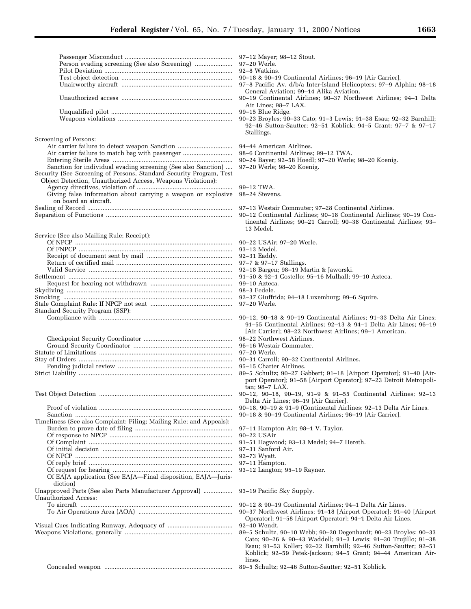Screening of Persons: Air carrier failure to detect weapon Sanction ................................ 94–44 American Airlines. Air carrier failure to match bag with passenger ............................. 98–6 Continental Airlines; 99–12 TWA. Entering Sterile Areas ...................................................................... 90–24 Bayer; 92–58 Hoedl; 97–20 Werle; 98–20 Koenig. Sanction for individual evading screening (See also Sanction) .... Security (See Screening of Persons, Standard Security Program, Test Object Detection, Unauthorized Access, Weapons Violations): Agency directives, violation of ........................................................ 99–12 TWA. Giving false information about carrying a weapon or explosive on board an aircraft. Sealing of Record ..................................................................................... 97–13 Westair Commuter; 97–28 Continental Airlines. Service (See also Mailing Rule; Receipt): Of NPCP ............................................................................................ 90–22 USAir; 97–20 Werle. Of FNPCP .......................................................................................... 93–13 Medel. Receipt of document sent by mail .................................................. 92–31 Eaddy. Return of certified mail .................................................................... 97–7 & 97–17 Stallings. Valid Service .................................................................................... 92–18 Bargen; 98–19 Martin & Jaworski. Settlement ................................................................................................ 91–50 & 92–1 Costello; 95–16 Mulhall; 99–10 Azteca. Request for hearing not withdrawn ................................................ 99–10 Azteca. Skydiving ................................................................................................. 98–3 Fedele. Smoking ................................................................................................... 92–37 Giuffrida; 94–18 Luxemburg; 99–6 Squire. Stale Complaint Rule: If NPCP not sent ................................................ 97–20 Werle. Standard Security Program (SSP): Checkpoint Security Coordinator .................................................... 98–22 Northwest Airlines. Ground Security Coordinator .......................................................... 96–16 Westair Commuter.

Test Object Detection .............................................................................. 90–12, 90–18, 90–19, 91–9 & 91–55 Continental Airlines; 92–13

Proof of violation .............................................................................. 90–18, 90–19 & 91–9 (Continental Airlines: 92–13 Delta Air Lines. Sanction ............................................................................................ 90–18 & 90–19 Continental Airlines; 96–19 [Air Carrier]. Timeliness (See also Complaint; Filing; Mailing Rule; and Appeals): Burden to prove date of filing ......................................................... 97–11 Hampton Air; 98–1 V. Taylor. Of response to NPCP ........................................................................ 90–22 USAir Of Complaint .................................................................................... 91–51 Hagwood; 93–13 Medel; 94–7 Hereth. Of initial decision ............................................................................ 97–31 Sanford Air. Of NPCP ............................................................................................ 92–73 Wyatt. Of reply brief .................................................................................... 97–11 Hampton. Of request for hearing ...................................................................... 93–12 Langton; 95–19 Rayner. Of EAJA application (See EAJA—Final disposition, EAJA—Jurisdiction) Unapproved Parts (See also Parts Manufacturer Approval) ................. 93–19 Pacific Sky Supply. Unauthorized Access: To aircraft ......................................................................................... 90–12 & 90–19 Continental Airlines; 94–1 Delta Air Lines. Visual Cues Indicating Runway, Adequacy of ...................................... 92–40 Wendt.

Weapons Violations, generally ............................................................... 89–5 Schultz, 90–10 Webb; 90–20 Degenhardt; 90–23 Broyles; 90–33

- 97-12 Mayer; 98-12 Stout.
- $97-20$  Werle
- 92-8 Watkins.
- 90-18 & 90-19 Continental Airlines; 96-19 [Air Carrier].
- 97-8 Pacific Av. d/b/a Inter-Island Helicopters; 97-9 Alphin; 98-18 General Aviation; 99–14 Alika Aviation.
- 90-19 Continental Airlines; 90-37 Northwest Airlines; 94-1 Delta Air Lines; 98–7 LAX.
- 99-15 Blue Ridge.
- 90-23 Broyles; 90-33 Cato; 91-3 Lewis; 91-38 Esau; 92-32 Barnhill; 92–46 Sutton-Sautter; 92–51 Koblick; 94–5 Grant; 97–7 & 97–17 Stallings.

- 
- 
- 

- 98–24 Stevens.
- 
- 90-12 Continental Airlines; 90-18 Continental Airlines; 90-19 Continental Airlines; 90–21 Carroll; 90–38 Continental Airlines; 93– 13 Medel.
- 
- 

- 
- 
- 
- 

- Compliance with .............................................................................. 90–12, 90–18 & 90–19 Continental Airlines; 91–33 Delta Air Lines; 91–55 Continental Airlines; 92–13 & 94–1 Delta Air Lines; 96–19 [Air Carrier]; 98–22 Northwest Airlines; 99–1 American.
	-
	-
	- 97–20 Werle.
	- 90-31 Carroll; 90-32 Continental Airlines.
	- 95-15 Charter Airlines.
	- 89-5 Schultz; 90-27 Gabbert; 91-18 [Airport Operator]; 91-40 [Airport Operator]; 91–58 [Airport Operator]; 97–23 Detroit Metropolitan; 98–7 LAX.
	- Delta Air Lines; 96–19 [Air Carrier].
	-
	-

- 
- 
- 
- 
- 
- 

90-37 Northwest Airlines; 91-18 [Airport Operator]; 91-40 [Airport Operator]; 91–58 [Airport Operator]; 94–1 Delta Air Lines.

- Cato; 90–26 & 90–43 Waddell; 91–3 Lewis; 91–30 Trujillo; 91–38 Esau; 91–53 Koller; 92–32 Barnhill; 92–46 Sutton-Sautter; 92–51 Koblick; 92–59 Petek-Jackson; 94–5 Grant; 94–44 American Airlines.
- Concealed weapon ........................................................................... 89–5 Schultz; 92–46 Sutton-Sautter; 92–51 Koblick.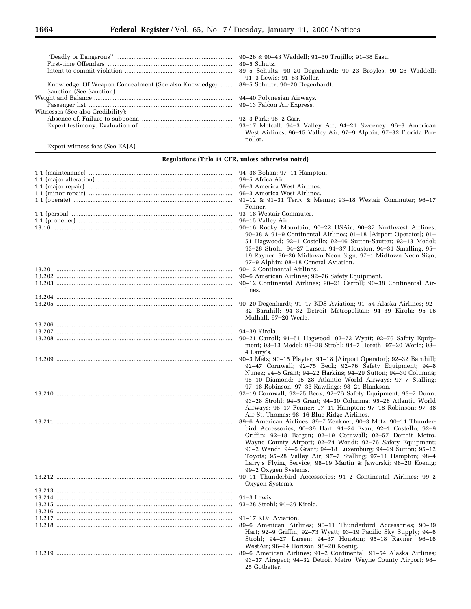|                                                                                        | 91-3 Lewis; 91-53 Koller.                                                   |
|----------------------------------------------------------------------------------------|-----------------------------------------------------------------------------|
| Knowledge: Of Weapon Concealment (See also Knowledge)  89–5 Schultz; 90–20 Degenhardt. |                                                                             |
| Sanction (See Sanction)                                                                |                                                                             |
|                                                                                        |                                                                             |
|                                                                                        |                                                                             |
| Witnesses (See also Credibility):                                                      |                                                                             |
|                                                                                        |                                                                             |
|                                                                                        | 93-17 Metcalf; 94-3 Valley Air; 94-21 Sweeney; 96-3 American                |
|                                                                                        | West Airlines; 96-15 Valley Air; 97-9 Alphin; 97-32 Florida Pro-<br>peller. |
|                                                                                        |                                                                             |

Expert witness fees (See EAJA)

# **Regulations (Title 14 CFR, unless otherwise noted)**

| Fenner.                                                                                                                                                                                                                                                                                                                                                                                                                                                                                                     |
|-------------------------------------------------------------------------------------------------------------------------------------------------------------------------------------------------------------------------------------------------------------------------------------------------------------------------------------------------------------------------------------------------------------------------------------------------------------------------------------------------------------|
| 93–18 Westair Commuter.<br>96–15 Valley Air.<br>90–16 Rocky Mountain; 90–22 USAir; 90–37 Northwest Airlines;<br>90–38 & 91–9 Continental Airlines; 91–18 [Airport Operator]; 91–<br>51 Hagwood; 92-1 Costello; 92-46 Sutton-Sautter; 93-13 Medel;<br>93-28 Strohl; 94-27 Larsen; 94-37 Houston; 94-31 Smalling; 95-<br>19 Rayner; 96-26 Midtown Neon Sign; 97-1 Midtown Neon Sign;                                                                                                                          |
| 97-9 Alphin; 98-18 General Aviation.<br>90-12 Continental Airlines.<br>90-6 American Airlines; 92-76 Safety Equipment.<br>90-12 Continental Airlines; 90-21 Carroll; 90-38 Continental Air-<br>lines.                                                                                                                                                                                                                                                                                                       |
| 90–20 Degenhardt; 91–17 KDS Aviation; 91–54 Alaska Airlines; 92–<br>32 Barnhill; 94-32 Detroit Metropolitan; 94-39 Kirola; 95-16<br>Mulhall; 97-20 Werle.                                                                                                                                                                                                                                                                                                                                                   |
| ment; 93-13 Medel; 93-28 Strohl; 94-7 Hereth; 97-20 Werle; 98-<br>4 Larry's.                                                                                                                                                                                                                                                                                                                                                                                                                                |
| 90-3 Metz; 90-15 Playter; 91-18 [Airport Operator]; 92-32 Barnhill;<br>92-47 Cornwall; 92-75 Beck; 92-76 Safety Equipment; 94-8<br>Nunez; 94-5 Grant; 94-22 Harkins; 94-29 Sutton; 94-30 Columna;<br>95-10 Diamond; 95-28 Atlantic World Airways; 97-7 Stalling;<br>97-18 Robinson; 97-33 Rawlings; 98-21 Blankson.<br>92-19 Cornwall; 92-75 Beck; 92-76 Safety Equipment; 93-7 Dunn;                                                                                                                       |
| 93-28 Strohl; 94-5 Grant; 94-30 Columna; 95-28 Atlantic World<br>Airways; 96-17 Fenner; 97-11 Hampton; 97-18 Robinson; 97-38<br>Air St. Thomas; 98-16 Blue Ridge Airlines.<br>89–6 American Airlines; 89–7 Zenkner; 90–3 Metz; 90–11 Thunder-<br>bird Accessories; 90-39 Hart; 91-24 Esau; 92-1 Costello; 92-9<br>Griffin; 92-18 Bargen; 92-19 Cornwall; 92-57 Detroit Metro.<br>Wayne County Airport; 92-74 Wendt; 92-76 Safety Equipment;<br>93-2 Wendt; 94-5 Grant; 94-18 Luxemburg; 94-29 Sutton; 95-12 |
| Toyota; 95-28 Valley Air; 97-7 Stalling; 97-11 Hampton; 98-4<br>Larry's Flying Service; 98-19 Martin & Jaworski; 98-20 Koenig;<br>99-2 Oxygen Systems.<br>90-11 Thunderbird Accessories; 91-2 Continental Airlines; 99-2<br>Oxygen Systems.                                                                                                                                                                                                                                                                 |
|                                                                                                                                                                                                                                                                                                                                                                                                                                                                                                             |
| 91-17 KDS Aviation.<br>89–6 American Airlines; 90–11 Thunderbird Accessories; 90–39<br>Hart; 92-9 Griffin; 92-73 Wyatt; 93-19 Pacific Sky Supply; 94-6<br>Strohl; 94-27 Larsen; 94-37 Houston; 95-18 Rayner; 96-16<br>WestAir; 96-24 Horizon; 98-20 Koenig.                                                                                                                                                                                                                                                 |
| 89–6 American Airlines; 91–2 Continental; 91–54 Alaska Airlines;<br>93-37 Airspect; 94-32 Detroit Metro. Wayne County Airport; 98-<br>25 Gotbetter.                                                                                                                                                                                                                                                                                                                                                         |

Ξ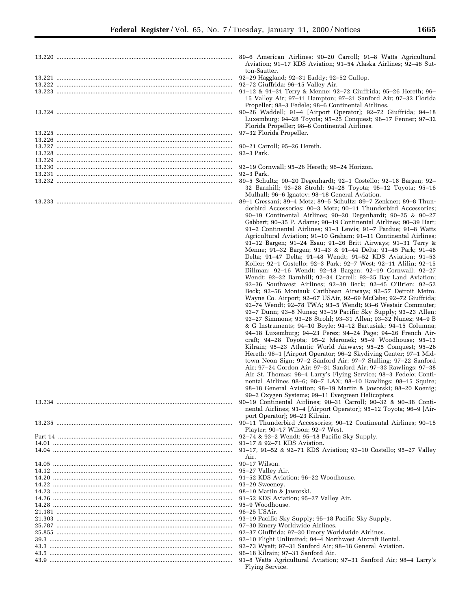| 89-6 American Airlines; 90-20 Carroll; 91-8 Watts Agricultural<br>Aviation; 91-17 KDS Aviation; 91-54 Alaska Airlines; 92-46 Sut-<br>ton-Sautter.<br>92-29 Haggland; 92-31 Eaddy; 92-52 Cullop.                               |
|-------------------------------------------------------------------------------------------------------------------------------------------------------------------------------------------------------------------------------|
| 92-72 Giuffrida; 96-15 Valley Air.<br>91-12 & 91-31 Terry & Menne; 92-72 Giuffrida; 95-26 Hereth; 96-<br>15 Valley Air; 97-11 Hampton; 97-31 Sanford Air; 97-32 Florida<br>Propeller; 98-3 Fedele; 98-6 Continental Airlines. |
| 90-26 Waddell; 91-4 [Airport Operator]; 92-72 Giuffrida; 94-18<br>Luxemburg; 94-28 Toyota; 95-25 Conquest; 96-17 Fenner; 97-32<br>Florida Propeller; 98–6 Continental Airlines.                                               |
| 97-32 Florida Propeller.                                                                                                                                                                                                      |
| 90–21 Carroll; 95–26 Hereth.                                                                                                                                                                                                  |
| $92-3$ Park.                                                                                                                                                                                                                  |
|                                                                                                                                                                                                                               |
| 92–19 Cornwall; 95–26 Hereth; 96–24 Horizon.                                                                                                                                                                                  |
| 92–3 Park.                                                                                                                                                                                                                    |
| 89-5 Schultz; 90-20 Degenhardt; 92-1 Costello; 92-18 Bargen; 92-                                                                                                                                                              |
| 32 Barnhill; 93-28 Strohl; 94-28 Toyota; 95-12 Toyota; 95-16<br>Mulhall; 96-6 Ignatov; 98-18 General Aviation.                                                                                                                |
| 89–1 Gressani; 89–4 Metz; 89–5 Schultz; 89–7 Zenkner; 89–8 Thun-                                                                                                                                                              |
| derbird Accessories; 90–3 Metz; 90–11 Thunderbird Accessories;                                                                                                                                                                |
| 90-19 Continental Airlines; 90-20 Degenhardt; 90-25 & 90-27                                                                                                                                                                   |
| Gabbert; 90–35 P. Adams; 90–19 Continental Airlines; 90–39 Hart;                                                                                                                                                              |
| 91–2 Continental Airlines; 91–3 Lewis; 91–7 Pardue; 91–8 Watts<br>Agricultural Aviation; 91-10 Graham; 91-11 Continental Airlines;                                                                                            |
| 91–12 Bargen; 91–24 Esau; 91–26 Britt Airways; 91–31 Terry &                                                                                                                                                                  |
| Menne; 91-32 Bargen; 91-43 & 91-44 Delta; 91-45 Park; 91-46                                                                                                                                                                   |
| Delta; 91–47 Delta; 91–48 Wendt; 91–52 KDS Aviation; 91–53                                                                                                                                                                    |
| Koller; 92–1 Costello; 92–3 Park; 92–7 West; 92–11 Alilin; 92–15                                                                                                                                                              |
| Dillman; 92-16 Wendt; 92-18 Bargen; 92-19 Cornwall; 92-27                                                                                                                                                                     |
| Wendt; 92–32 Barnhill; 92–34 Carrell; 92–35 Bay Land Aviation;                                                                                                                                                                |
| 92–36 Southwest Airlines; 92–39 Beck; 92–45 O'Brien; 92–52                                                                                                                                                                    |
| Beck; 92–56 Montauk Caribbean Airways; 92–57 Detroit Metro.                                                                                                                                                                   |
| Wayne Co. Airport; 92-67 USAir, 92-69 McCabe; 92-72 Giuffrida;                                                                                                                                                                |
| 92-74 Wendt; 92-78 TWA; 93-5 Wendt; 93-6 Westair Commuter;                                                                                                                                                                    |
| 93–7 Dunn; 93–8 Nunez; 93–19 Pacific Sky Supply; 93–23 Allen;                                                                                                                                                                 |
| 93–27 Simmons; 93–28 Strohl; 93–31 Allen; 93–32 Nunez; 94–9 B                                                                                                                                                                 |
| & G Instruments; 94-10 Boyle; 94-12 Bartusiak; 94-15 Columna;                                                                                                                                                                 |
| 94-18 Luxemburg; 94-23 Perez; 94-24 Page; 94-26 French Air-                                                                                                                                                                   |
| craft; 94-28 Toyota; 95-2 Meronek; 95-9 Woodhouse; 95-13                                                                                                                                                                      |
| Kilrain; 95-23 Atlantic World Airways; 95-25 Conquest; 95-26                                                                                                                                                                  |
| Hereth; 96–1 [Airport Operator; 96–2 Skydiving Center; 97–1 Mid-<br>town Neon Sign; 97-2 Sanford Air; 97-7 Stalling; 97-22 Sanford                                                                                            |
| Air; 97-24 Gordon Air; 97-31 Sanford Air; 97-33 Rawlings; 97-38                                                                                                                                                               |
| Air St. Thomas; 98–4 Larry's Flying Service; 98–3 Fedele; Conti-                                                                                                                                                              |
| nental Airlines 98–6; 98–7 LAX; 98–10 Rawlings; 98–15 Squire;                                                                                                                                                                 |
| 98–18 General Aviation; 98–19 Martin & Jaworski; 98–20 Koenig;                                                                                                                                                                |
| 99-2 Oxygen Systems; 99-11 Evergreen Helicopters.                                                                                                                                                                             |
| 90-19 Continental Airlines; 90-31 Carroll; 90-32 & 90-38 Conti-                                                                                                                                                               |
| nental Airlines; 91-4 [Airport Operator]; 95-12 Toyota; 96-9 [Air-                                                                                                                                                            |
| port Operator]; 96-23 Kilrain.                                                                                                                                                                                                |
| 90-11 Thunderbird Accessories; 90-12 Continental Airlines; 90-15<br>Playter; 90–17 Wilson; 92–7 West.                                                                                                                         |
| 92-74 & 93-2 Wendt; 95-18 Pacific Sky Supply.<br>91-17 & 92-71 KDS Aviation.                                                                                                                                                  |
| 91-17, 91-52 & 92-71 KDS Aviation; 93-10 Costello; 95-27 Valley                                                                                                                                                               |
| Air.                                                                                                                                                                                                                          |
| 90–17 Wilson.                                                                                                                                                                                                                 |
| 95–27 Valley Air.                                                                                                                                                                                                             |
| 91–52 KDS Aviation; 96–22 Woodhouse.                                                                                                                                                                                          |
| 93-29 Sweeney.                                                                                                                                                                                                                |
| 98-19 Martin & Jaworski.                                                                                                                                                                                                      |
| 91-52 KDS Aviation; 95-27 Valley Air.                                                                                                                                                                                         |
| 95–9 Woodhouse.                                                                                                                                                                                                               |
| 96–25 USAir.                                                                                                                                                                                                                  |
| 93-19 Pacific Sky Supply; 95-18 Pacific Sky Supply.                                                                                                                                                                           |
| 97–30 Emery Worldwide Airlines.                                                                                                                                                                                               |
| 92-37 Giuffrida; 97-30 Emery Worldwide Airlines.                                                                                                                                                                              |
| 92–10 Flight Unlimited; 94–4 Northwest Aircraft Rental.                                                                                                                                                                       |
| 92-73 Wyatt; 97-31 Sanford Air; 98-18 General Aviation.<br>96–18 Kilrain; 97–31 Sanford Air.                                                                                                                                  |
| 91-8 Watts Agricultural Aviation; 97-31 Sanford Air; 98-4 Larry's                                                                                                                                                             |
| Flying Service.                                                                                                                                                                                                               |
|                                                                                                                                                                                                                               |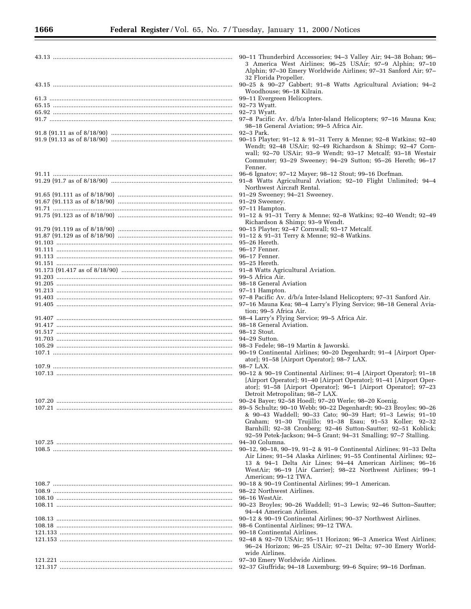| 90–11 Thunderbird Accessories; 94–3 Valley Air; 94–38 Bohan; 96–<br>3 America West Airlines; 96-25 USAir; 97-9 Alphin; 97-10<br>Alphin; 97-30 Emery Worldwide Airlines; 97-31 Sanford Air; 97-                                                                                                                                 |
|--------------------------------------------------------------------------------------------------------------------------------------------------------------------------------------------------------------------------------------------------------------------------------------------------------------------------------|
| 32 Florida Propeller.<br>90-25 & 90-27 Gabbert; 91-8 Watts Agricultural Aviation; 94-2<br>Woodhouse; 96-18 Kilrain.                                                                                                                                                                                                            |
| 99-11 Evergreen Helicopters.                                                                                                                                                                                                                                                                                                   |
| 92–73 Wyatt.                                                                                                                                                                                                                                                                                                                   |
| 92-73 Wyatt.                                                                                                                                                                                                                                                                                                                   |
| 97-8 Pacific Av. d/b/a Inter-Island Helicopters; 97-16 Mauna Kea;                                                                                                                                                                                                                                                              |
| 98–18 General Aviation; 99–5 Africa Air.<br>92–3 Park.                                                                                                                                                                                                                                                                         |
| 90–15 Playter; 91–12 & 91–31 Terry & Menne; 92–8 Watkins; 92–40<br>Wendt; 92-48 USAir; 92-49 Richardson & Shimp; 92-47 Corn-<br>wall; 92-70 USAir; 93-9 Wendt; 93-17 Metcalf; 93-18 Westair<br>Commuter; 93-29 Sweeney; 94-29 Sutton; 95-26 Hereth; 96-17<br>Fenner.                                                           |
| 96-6 Ignatov; 97-12 Mayer; 98-12 Stout; 99-16 Dorfman.<br>91-8 Watts Agricultural Aviation; 92-10 Flight Unlimited; 94-4<br>Northwest Aircraft Rental.                                                                                                                                                                         |
| 91-29 Sweeney; 94-21 Sweeney.<br>91-29 Sweeney.                                                                                                                                                                                                                                                                                |
| 97-11 Hampton.                                                                                                                                                                                                                                                                                                                 |
| 91-12 & 91-31 Terry & Menne; 92-8 Watkins; 92-40 Wendt; 92-49                                                                                                                                                                                                                                                                  |
| Richardson & Shimp; 93-9 Wendt.                                                                                                                                                                                                                                                                                                |
| 90–15 Playter; 92–47 Cornwall; 93–17 Metcalf.                                                                                                                                                                                                                                                                                  |
| 91-12 & 91-31 Terry & Menne; 92-8 Watkins.                                                                                                                                                                                                                                                                                     |
| $95-26$ Hereth.                                                                                                                                                                                                                                                                                                                |
| 96-17 Fenner.                                                                                                                                                                                                                                                                                                                  |
| 96–17 Fenner.                                                                                                                                                                                                                                                                                                                  |
| $95-25$ Hereth.                                                                                                                                                                                                                                                                                                                |
| 91-8 Watts Agricultural Aviation.                                                                                                                                                                                                                                                                                              |
| 99–5 Africa Air.                                                                                                                                                                                                                                                                                                               |
| 98–18 General Aviation                                                                                                                                                                                                                                                                                                         |
| 97–11 Hampton.                                                                                                                                                                                                                                                                                                                 |
| 97-8 Pacific Av. d/b/a Inter-Island Helicopters; 97-31 Sanford Air.<br>97-16 Mauna Kea; 98-4 Larry's Flying Service; 98-18 General Avia-                                                                                                                                                                                       |
| tion; 99–5 Africa Air.                                                                                                                                                                                                                                                                                                         |
| 98-4 Larry's Flying Service; 99-5 Africa Air.                                                                                                                                                                                                                                                                                  |
| 98-18 General Aviation.                                                                                                                                                                                                                                                                                                        |
| 98-12 Stout.                                                                                                                                                                                                                                                                                                                   |
| 94–29 Sutton.                                                                                                                                                                                                                                                                                                                  |
| 98-3 Fedele; 98-19 Martin & Jaworski.                                                                                                                                                                                                                                                                                          |
| 90-19 Continental Airlines; 90-20 Degenhardt; 91-4 [Airport Oper-<br>ator]; 91-58 [Airport Operator]; 98-7 LAX.                                                                                                                                                                                                                |
| 98-7 LAX.                                                                                                                                                                                                                                                                                                                      |
| 90–12 & 90–19 Continental Airlines; 91–4 [Airport Operator]; 91–18                                                                                                                                                                                                                                                             |
| [Airport Operator]; 91–40 [Airport Operator]; 91–41 [Airport Oper-<br>ator]; 91-58 [Airport Operator]; 96-1 [Airport Operator]; 97-23<br>Detroit Metropolitan; 98–7 LAX.                                                                                                                                                       |
| 90-24 Bayer; 92-58 Hoedl; 97-20 Werle; 98-20 Koenig.                                                                                                                                                                                                                                                                           |
| 89–5 Schultz; 90–10 Webb; 90–22 Degenhardt; 90–23 Broyles; 90–26<br>& 90–43 Waddell; 90–33 Cato; 90–39 Hart; 91–3 Lewis; 91–10<br>Graham; 91–30 Trujillo; 91–38 Esau; 91–53 Koller; 92–32<br>Barnhill; 92-38 Cronberg; 92-46 Sutton-Sautter; 92-51 Koblick;<br>92–59 Petek-Jackson; 94–5 Grant; 94–31 Smalling; 97–7 Stalling. |
| 94–30 Columna.                                                                                                                                                                                                                                                                                                                 |
| 90–12, 90–18, 90–19, 91–2 & 91–9 Continental Airlines; 91–33 Delta<br>Air Lines; 91–54 Alaska Airlines; 91–55 Continental Airlines; 92–<br>13 & 94–1 Delta Air Lines; 94–44 American Airlines; 96–16<br>WestAir; 96–19 [Air Carrier]; 98–22 Northwest Airlines; 99–1                                                           |
| American; 99–12 TWA.                                                                                                                                                                                                                                                                                                           |
| 90–18 & 90–19 Continental Airlines; 99–1 American.                                                                                                                                                                                                                                                                             |
| 98–22 Northwest Airlines.                                                                                                                                                                                                                                                                                                      |
| 96–16 WestAir.                                                                                                                                                                                                                                                                                                                 |
| 90-23 Broyles; 90-26 Waddell; 91-3 Lewis; 92-46 Sutton-Sautter;<br>94–44 American Airlines.                                                                                                                                                                                                                                    |
| 90–12 & 90–19 Continental Airlines; 90–37 Northwest Airlines.                                                                                                                                                                                                                                                                  |
| 98–6 Continental Airlines; 99–12 TWA.                                                                                                                                                                                                                                                                                          |
| 90–18 Continental Airlines.                                                                                                                                                                                                                                                                                                    |
| 92–48 & 92–70 USAir; 95–11 Horizon; 96–3 America West Airlines;<br>96–24 Horizon; 96–25 USAir; 97–21 Delta; 97–30 Emery World-                                                                                                                                                                                                 |
| wide Airlines.                                                                                                                                                                                                                                                                                                                 |
| 97-30 Emery Worldwide Airlines.<br>92-37 Giuffrida; 94-18 Luxemburg; 99-6 Squire; 99-16 Dorfman.                                                                                                                                                                                                                               |
|                                                                                                                                                                                                                                                                                                                                |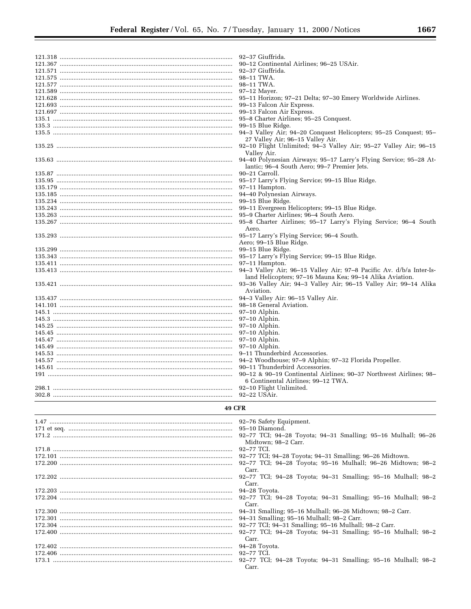▀

|               | 92–37 Giuffrida.                                                                                                 |
|---------------|------------------------------------------------------------------------------------------------------------------|
|               | 90-12 Continental Airlines; 96-25 USAir.                                                                         |
|               | 92–37 Giuffrida.                                                                                                 |
|               | 98–11 TWA.                                                                                                       |
|               | 98–11 TWA.                                                                                                       |
|               | $97-12$ Mayer.                                                                                                   |
|               | 95-11 Horizon; 97-21 Delta; 97-30 Emery Worldwide Airlines.                                                      |
|               | 99–13 Falcon Air Express.                                                                                        |
|               | 99–13 Falcon Air Express.                                                                                        |
|               | 95-8 Charter Airlines; 95-25 Conquest.                                                                           |
|               | 99–15 Blue Ridge.                                                                                                |
|               | 94-3 Valley Air; 94-20 Conquest Helicopters; 95-25 Conquest; 95-                                                 |
|               | 27 Valley Air; 96-15 Valley Air.                                                                                 |
|               | 92-10 Flight Unlimited; 94-3 Valley Air; 95-27 Valley Air; 96-15                                                 |
|               | Valley Air.                                                                                                      |
|               | 94-40 Polynesian Airways; 95-17 Larry's Flying Service; 95-28 At-<br>lantic; 96-4 South Aero; 99-7 Premier Jets. |
|               | 90-21 Carroll.                                                                                                   |
|               | 95–17 Larry's Flying Service; 99–15 Blue Ridge.                                                                  |
|               | 97–11 Hampton.                                                                                                   |
|               | 94-40 Polynesian Airways.                                                                                        |
|               | 99–15 Blue Ridge.                                                                                                |
|               | 99–11 Evergreen Helicopters; 99–15 Blue Ridge.                                                                   |
|               | 95–9 Charter Airlines; 96–4 South Aero.                                                                          |
|               | 95-8 Charter Airlines; 95-17 Larry's Flying Service; 96-4 South                                                  |
|               | Aero.                                                                                                            |
|               | 95-17 Larry's Flying Service; 96-4 South.                                                                        |
|               | Aero; 99-15 Blue Ridge.                                                                                          |
|               | 99–15 Blue Ridge.                                                                                                |
|               | 95-17 Larry's Flying Service; 99-15 Blue Ridge.                                                                  |
|               | 97–11 Hampton.                                                                                                   |
|               | 94–3 Valley Air; 96–15 Valley Air; 97–8 Pacific Av. d/b/a Inter-Is-                                              |
|               | land Helicopters; 97-16 Mauna Kea; 99-14 Alika Aviation.                                                         |
|               | 93–36 Valley Air; 94–3 Valley Air; 96–15 Valley Air; 99–14 Alika                                                 |
|               | Aviation.                                                                                                        |
|               | 94-3 Valley Air: 96-15 Valley Air.                                                                               |
|               | 98–18 General Aviation.                                                                                          |
|               |                                                                                                                  |
|               | $97-10$ Alphin.                                                                                                  |
|               | $97-10$ Alphin.                                                                                                  |
|               | $97-10$ Alphin.                                                                                                  |
|               | $97-10$ Alphin.                                                                                                  |
|               | 97-10 Alphin.                                                                                                    |
|               | $97-10$ Alphin.                                                                                                  |
|               | 9–11 Thunderbird Accessories.                                                                                    |
|               | 94-2 Woodhouse; 97-9 Alphin; 97-32 Florida Propeller.                                                            |
|               | 90–11 Thunderbird Accessories.                                                                                   |
|               | 90-12 & 90-19 Continental Airlines; 90-37 Northwest Airlines; 98-                                                |
|               | 6 Continental Airlines; 99-12 TWA.                                                                               |
|               | 92-10 Flight Unlimited.                                                                                          |
|               | 92–22 USAir.                                                                                                     |
| <b>49 CFR</b> |                                                                                                                  |
|               |                                                                                                                  |
|               | 92–76 Safety Equipment.                                                                                          |
|               | 95-10 Diamond.                                                                                                   |
|               | 92-77 TCI; 94-28 Toyota; 94-31 Smalling; 95-16 Mulhall; 96-26                                                    |
|               | Midtown; 98-2 Carr.                                                                                              |
|               | 92-77 TCI.                                                                                                       |
|               | 92–77 TCI; 94–28 Toyota; 94–31 Smalling; 96–26 Midtown.                                                          |
|               | 92-77 TCI; 94-28 Toyota; 95-16 Mulhall; 96-26 Midtown; 98-2<br>Carr.                                             |
|               |                                                                                                                  |
|               | 92-77 TCI; 94-28 Toyota; 94-31 Smalling; 95-16 Mulhall; 98-2<br>Carr.                                            |
|               |                                                                                                                  |
|               | 94-28 Toyota.                                                                                                    |
|               | 92-77 TCI; 94-28 Toyota; 94-31 Smalling; 95-16 Mulhall; 98-2<br>Carr.                                            |
|               | 94-31 Smalling; 95-16 Mulhall; 96-26 Midtown; 98-2 Carr.                                                         |
|               |                                                                                                                  |
|               | 94-31 Smalling; 95-16 Mulhall; 98-2 Carr.<br>92-77 TCI; 94-31 Smalling; 95-16 Mulhall; 98-2 Carr.                |
|               | 92-77 TCI; 94-28 Toyota; 94-31 Smalling; 95-16 Mulhall; 98-2                                                     |
|               | Carr.<br>94-28 Tovota.                                                                                           |

- 
- 
- Carr.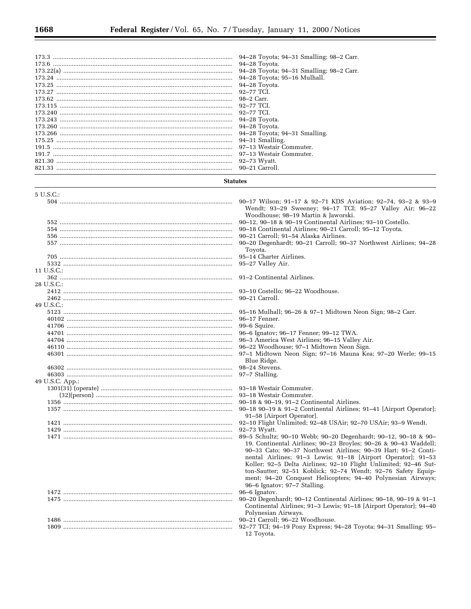|                                                     | 94-28 Toyota; 94-31 Smalling; 98-2 Carr.<br>94–28 Toyota.<br>94-28 Toyota; 94-31 Smalling; 98-2 Carr.<br>94-28 Toyota; 95-16 Mulhall.<br>94-28 Toyota.<br>92-77 TCI.<br>98-2 Carr.<br>92-77 TCI.<br>92–77 TCI.<br>94–28 Toyota.<br>94-28 Toyota.<br>94-28 Toyota; 94-31 Smalling.<br>94-31 Smalling.<br>97–13 Westair Commuter.<br>97–13 Westair Commuter.<br>92-73 Wyatt.                                                                                                                                                                                                                                                                                                                                                                                                                                                                                                                                                         |
|-----------------------------------------------------|------------------------------------------------------------------------------------------------------------------------------------------------------------------------------------------------------------------------------------------------------------------------------------------------------------------------------------------------------------------------------------------------------------------------------------------------------------------------------------------------------------------------------------------------------------------------------------------------------------------------------------------------------------------------------------------------------------------------------------------------------------------------------------------------------------------------------------------------------------------------------------------------------------------------------------|
| <b>Statutes</b>                                     | 90–21 Carroll.                                                                                                                                                                                                                                                                                                                                                                                                                                                                                                                                                                                                                                                                                                                                                                                                                                                                                                                     |
|                                                     |                                                                                                                                                                                                                                                                                                                                                                                                                                                                                                                                                                                                                                                                                                                                                                                                                                                                                                                                    |
| 5 U.S.C.:<br>11 U.S.C.:<br>28 U.S.C.:<br>49 U.S.C.: | 90–17 Wilson; 91–17 & 92–71 KDS Aviation; 92–74, 93–2 & 93–9<br>Wendt; 93-29 Sweeney; 94-17 TCI; 95-27 Valley Air; 96-22<br>Woodhouse; 98-19 Martin & Jaworski.<br>90-12, 90-18 & 90-19 Continental Airlines; 93-10 Costello.<br>90–18 Continental Airlines; 90–21 Carroll; 95–12 Toyota.<br>90-21 Carroll; 91-54 Alaska Airlines.<br>90-20 Degenhardt; 90-21 Carroll; 90-37 Northwest Airlines; 94-28<br>Toyota.<br>95–14 Charter Airlines.<br>95-27 Valley Air.<br>91–2 Continental Airlines.<br>93-10 Costello; 96-22 Woodhouse.<br>90–21 Carroll.<br>95–16 Mulhall; 96–26 & 97–1 Midtown Neon Sign; 98–2 Carr.<br>96-17 Fenner.<br>99–6 Squire.<br>96-6 Ignatov; 96-17 Fenner; 99-12 TWA.                                                                                                                                                                                                                                      |
|                                                     | 96–3 America West Airlines; 96–15 Valley Air.<br>96–22 Woodhouse; 97–1 Midtown Neon Sign.<br>97-1 Midtown Neon Sign; 97-16 Mauna Kea; 97-20 Werle; 99-15<br>Blue Ridge.<br>98-24 Stevens.<br>97–7 Stalling.                                                                                                                                                                                                                                                                                                                                                                                                                                                                                                                                                                                                                                                                                                                        |
| 49 U.S.C. App.:                                     | 93–18 Westair Commuter.<br>$90-18$ & $90-19$ , $91-2$ Continental Airlines.<br>90-18 90-19 & 91-2 Continental Airlines; 91-41 [Airport Operator];<br>91–58 [Airport Operator].<br>92–10 Flight Unlimited; 92–48 USAir; 92–70 USAir; 93–9 Wendt.<br>92–73 Wyatt.<br>89-5 Schultz; 90-10 Webb; 90-20 Degenhardt; 90-12, 90-18 & 90-<br>19. Continental Airlines; 90-23 Broyles; 90-26 & 90-43 Waddell;<br>90-33 Cato; 90-37 Northwest Airlines; 90-39 Hart; 91-2 Conti-<br>nental Airlines; 91-3 Lewis; 91-18 [Airport Operator]; 91-53<br>Koller; 92-5 Delta Airlines; 92-10 Flight Unlimited; 92-46 Sut-<br>ton-Sautter; 92-51 Koblick; 92-74 Wendt; 92-76 Safety Equip-<br>ment; 94-20 Conquest Helicopters; 94-40 Polynesian Airways;<br>96–6 Ignatov; 97–7 Stalling.<br>96-6 Ignatov.<br>90-20 Degenhardt; 90-12 Continental Airlines; 90-18, 90-19 & 91-1<br>Continental Airlines; 91-3 Lewis; 91-18 [Airport Operator]; 94-40 |
|                                                     | Polynesian Airways.<br>90-21 Carroll; 96-22 Woodhouse.<br>92-77 TCI; 94-19 Pony Express; 94-28 Toyota; 94-31 Smalling; 95-<br>12 Toyota.                                                                                                                                                                                                                                                                                                                                                                                                                                                                                                                                                                                                                                                                                                                                                                                           |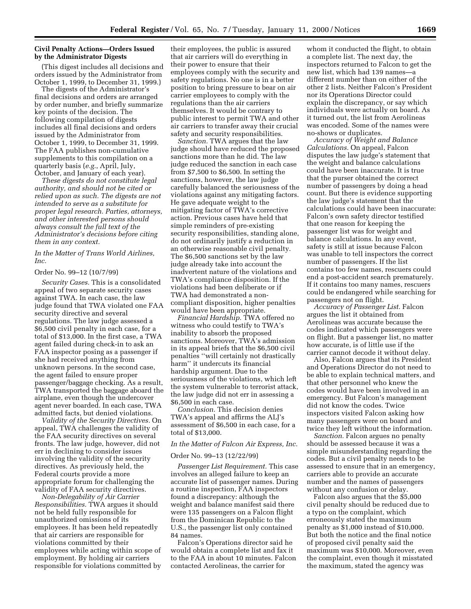# **Civil Penalty Actions—Orders Issued by the Administrator Digests**

(This digest includes all decisions and orders issued by the Administrator from October 1, 1999, to December 31, 1999.)

The digests of the Administrator's final decisions and orders are arranged by order number, and briefly summarize key points of the decision. The following compilation of digests includes all final decisions and orders issued by the Administrator from October 1, 1999, to December 31, 1999. The FAA publishes non-cumulative supplements to this compilation on a quarterly basis (*e.g.*, April, July, October, and January of each year).

*These digests do not constitute legal authority, and should not be cited or relied upon as such. The digests are not intended to serve as a substitute for proper legal research. Parties, attorneys, and other interested persons should always consult the full text of the Administrator's decisions before citing them in any context.*

*In the Matter of Trans World Airlines, Inc.*

#### Order No. 99–12 (10/7/99)

*Security Cases.* This is a consolidated appeal of two separate security cases against TWA. In each case, the law judge found that TWA violated one FAA security directive and several regulations. The law judge assessed a \$6,500 civil penalty in each case, for a total of \$13,000. In the first case, a TWA agent failed during check-in to ask an FAA inspector posing as a passenger if she had received anything from unknown persons. In the second case, the agent failed to ensure proper passenger/baggage checking. As a result, TWA transported the baggage aboard the airplane, even though the undercover agent never boarded. In each case, TWA admitted facts, but denied violations.

*Validity of the Security Directives.* On appeal, TWA challenges the validity of the FAA security directives on several fronts. The law judge, however, did not err in declining to consider issues involving the validity of the security directives. As previously held, the Federal courts provide a more appropriate forum for challenging the validity of FAA security directives.

*Non-Delegability of Air Carrier Responsibilities.* TWA argues it should not be held fully responsible for unauthorized omissions of its employees. It has been held repeatedly that air carriers are responsible for violations committed by their employees while acting within scope of employment. By holding air carriers responsible for violations committed by

their employees, the public is assured that air carriers will do everything in their power to ensure that their employees comply with the security and safety regulations. No one is in a better position to bring pressure to bear on air carrier employees to comply with the regulations than the air carriers themselves. It would be contrary to public interest to permit TWA and other air carriers to transfer away their crucial safety and security responsibilities.

*Sanction.* TWA argues that the law judge should have reduced the proposed sanctions more than he did. The law judge reduced the sanction in each case from \$7,500 to \$6,500. In setting the sanctions, however, the law judge carefully balanced the seriousness of the violations against any mitigating factors. He gave adequate weight to the mitigating factor of TWA's corrective action. Previous cases have held that simple reminders of pre-existing security responsibilities, standing alone, do not ordinarily justify a reduction in an otherwise reasonable civil penalty. The \$6,500 sanctions set by the law judge already take into account the inadvertent nature of the violations and TWA's compliance disposition. If the violations had been deliberate or if TWA had demonstrated a noncompliant disposition, higher penalties would have been appropriate.

*Financial Hardship.* TWA offered no witness who could testify to TWA's inability to absorb the proposed sanctions. Moreover, TWA's admission in its appeal briefs that the \$6,500 civil penalties ''will certainly not drastically harm'' it undercuts its financial hardship argument. Due to the seriousness of the violations, which left the system vulnerable to terrorist attack, the law judge did not err in assessing a \$6,500 in each case.

*Conclusion.* This decision denies TWA's appeal and affirms the ALJ's assessment of \$6,500 in each case, for a total of \$13,000.

#### *In the Matter of Falcon Air Express, Inc.*

#### Order No. 99–13 (12/22/99)

*Passenger List Requirement.* This case involves an alleged failure to keep an accurate list of passenger names. During a routine inspection, FAA inspectors found a discrepancy: although the weight and balance manifest said there were 135 passengers on a Falcon flight from the Dominican Republic to the U.S., the passenger list only contained 84 names.

Falcon's Operations director said he would obtain a complete list and fax it to the FAA in about 10 minutes. Falcon contacted Aerolineas, the carrier for

whom it conducted the flight, to obtain a complete list. The next day, the inspectors returned to Falcon to get the new list, which had 139 names—a different number than on either of the other 2 lists. Neither Falcon's President nor its Operations Director could explain the discrepancy, or say which individuals were actually on board. As it turned out, the list from Aerolineas was encoded. Some of the names were no-shows or duplicates.

*Accuracy of Weight and Balance Calculations.* On appeal, Falcon disputes the law judge's statement that the weight and balance calculations could have been inaccurate. It is true that the purser obtained the correct number of passengers by doing a head count. But there is evidence supporting the law judge's statement that the calculations could have been inaccurate: Falcon's own safety director testified that one reason for keeping the passenger list was for weight and balance calculations. In any event, safety is still at issue because Falcon was unable to tell inspectors the correct number of passengers. If the list contains too few names, rescuers could end a post-accident search prematurely. If it contains too many names, rescuers could be endangered while searching for passengers not on flight.

*Accuracy of Passenger List.* Falcon argues the list it obtained from Aerolineas was accurate because the codes indicated which passengers were on flight. But a passenger list, no matter how accurate, is of little use if the carrier cannot decode it without delay.

Also, Falcon argues that its President and Operations Director do not need to be able to explain technical matters, and that other personnel who knew the codes would have been involved in an emergency. But Falcon's management did not know the codes. Twice inspectors visited Falcon asking how many passengers were on board and twice they left without the information.

*Sanction.* Falcon argues no penalty should be assessed because it was a simple misunderstanding regarding the codes. But a civil penalty needs to be assessed to ensure that in an emergency, carriers able to provide an accurate number and the names of passengers without any confusion or delay.

Falcon also argues that the \$5,000 civil penalty should be reduced due to a typo on the complaint, which erroneously stated the maximum penalty as \$1,000 instead of \$10,000. But both the notice and the final notice of proposed civil penalty said the maximum was \$10,000. Moreover, even the complaint, even though it misstated the maximum, stated the agency was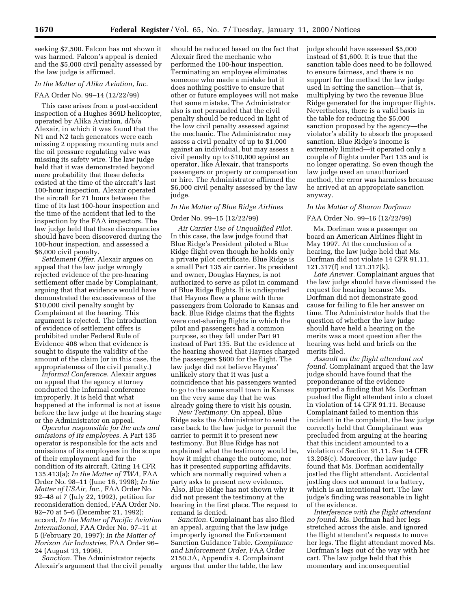seeking \$7,500. Falcon has not shown it was harmed. Falcon's appeal is denied and the \$5,000 civil penalty assessed by the law judge is affirmed.

#### *In the Matter of Alika Aviation, Inc.*

#### FAA Order No. 99–14 (12/22/99)

This case arises from a post-accident inspection of a Hughes 369D helicopter, operated by Alika Aviation, d/b/a Alexair, in which it was found that the N1 and N2 tach generators were each missing 2 opposing mounting nuts and the oil pressure regulating valve was missing its safety wire. The law judge held that it was demonstrated beyond mere probability that these defects existed at the time of the aircraft's last 100-hour inspection. Alexair operated the aircraft for 71 hours between the time of its last 100-hour inspection and the time of the accident that led to the inspection by the FAA inspectors. The law judge held that these discrepancies should have been discovered during the 100-hour inspection, and assessed a \$6,000 civil penalty.

*Settlement Offer.* Alexair argues on appeal that the law judge wrongly rejected evidence of the pre-hearing settlement offer made by Complainant, arguing that that evidence would have demonstrated the excessiveness of the \$10,000 civil penalty sought by Complainant at the hearing. This argument is rejected. The introduction of evidence of settlement offers is prohibited under Federal Rule of Evidence 408 when that evidence is sought to dispute the validity of the amount of the claim (or in this case, the appropriateness of the civil penalty.)

*Informal Conference.* Alexair argues on appeal that the agency attorney conducted the informal conference improperly. It is held that what happened at the informal is not at issue before the law judge at the hearing stage or the Administrator on appeal.

*Operator responsible for the acts and omissions of its employees.* A Part 135 operator is responsible for the acts and omissions of its employees in the scope of their employment and for the condition of its aircraft. Citing 14 CFR 135.413(a); *In the Matter of TWA,* FAA Order No. 98–11 (June 16, 1998); *In the Matter of USAir, Inc.,* FAA Order No. 92–48 at 7 (July 22, 1992), petition for reconsideration denied, FAA Order No. 92–70 at 5–6 (December 21, 1992); accord, *In the Matter of Pacific Aviation International,* FAA Order No. 97–11 at 5 (February 20, 1997); *In the Matter of Horizon Air Industries,* FAA Order 96– 24 (August 13, 1996).

*Sanction.* The Administrator rejects Alexair's argument that the civil penalty

should be reduced based on the fact that Alexair fired the mechanic who performed the 100-hour inspection. Terminating an employee eliminates someone who made a mistake but it does nothing positive to ensure that other or future employees will not make that same mistake. The Administrator also is not persuaded that the civil penalty should be reduced in light of the low civil penalty assessed against the mechanic. The Administrator may assess a civil penalty of up to \$1,000 against an individual, but may assess a civil penalty up to \$10,000 against an operator, like Alexair, that transports passengers or property or compensation or hire. The Administrator affirmed the \$6,000 civil penalty assessed by the law judge.

#### *In the Matter of Blue Ridge Airlines*

#### Order No. 99–15 (12/22/99)

*Air Carrier Use of Unqualified Pilot.* In this case, the law judge found that Blue Ridge's President piloted a Blue Ridge flight even though he holds only a private pilot certificate. Blue Ridge is a small Part 135 air carrier. Its president and owner, Douglas Haynes, is not authorized to serve as pilot in command of Blue Ridge flights. It is undisputed that Haynes flew a plane with three passengers from Colorado to Kansas and back. Blue Ridge claims that the flights were cost-sharing flights in which the pilot and passengers had a common purpose, so they fall under Part 91 instead of Part 135. But the evidence at the hearing showed that Haynes charged the passengers \$800 for the flight. The law judge did not believe Haynes' unlikely story that it was just a coincidence that his passengers wanted to go to the same small town in Kansas on the very same day that he was already going there to visit his cousin.

*New Testimony.* On appeal, Blue Ridge asks the Administrator to send the case back to the law judge to permit the carrier to permit it to present new testimony. But Blue Ridge has not explained what the testimony would be, how it might change the outcome, nor has it presented supporting affidavits, which are normally required when a party asks to present new evidence. Also, Blue Ridge has not shown why it did not present the testimony at the hearing in the first place. The request to remand is denied.

*Sanction.* Complainant has also filed an appeal, arguing that the law judge improperly ignored the Enforcement Sanction Guidance Table. *Compliance and Enforcement Order*, FAA Order 2150.3A, Appendix 4. Complainant argues that under the table, the law

judge should have assessed \$5,000 instead of \$1,600. It is true that the sanction table does need to be followed to ensure fairness, and there is no support for the method the law judge used in setting the sanction—that is, multiplying by two the revenue Blue Ridge generated for the improper flights. Nevertheless, there is a valid basis in the table for reducing the \$5,000 sanction proposed by the agency—the violator's ability to absorb the proposed sanction. Blue Ridge's income is extremely limited—it operated only a couple of flights under Part 135 and is no longer operating. So even though the law judge used an unauthorized method, the error was harmless because he arrived at an appropriate sanction anyway.

#### *In the Matter of Sharon Dorfman*

#### FAA Order No. 99–16 (12/22/99)

Ms. Dorfman was a passenger on board an American Airlines flight in May 1997. At the conclusion of a hearing, the law judge held that Ms. Dorfman did not violate 14 CFR 91.11, 121.317(f) and 121.317(k).

*Late Answer.* Complainant argues that the law judge should have dismissed the request for hearing because Ms. Dorfman did not demonstrate good cause for failing to file her answer on time. The Administrator holds that the question of whether the law judge should have held a hearing on the merits was a moot question after the hearing was held and briefs on the merits filed.

*Assault on the flight attendant not found.* Complainant argued that the law judge should have found that the preponderance of the evidence supported a finding that Ms. Dorfman pushed the flight attendant into a closet in violation of 14 CFR 91.11. Because Complainant failed to mention this incident in the complaint, the law judge correctly held that Complainant was precluded from arguing at the hearing that this incident amounted to a violation of Section 91.11. See 14 CFR 13.208(c). Moreover, the law judge found that Ms. Dorfman accidentally jostled the flight attendant. Accidental jostling does not amount to a battery, which is an intentional tort. The law judge's finding was reasonable in light of the evidence.

*Interference with the flight attendant no found.* Ms. Dorfman had her legs stretched across the aisle, and ignored the flight attendant's requests to move her legs. The flight attendant moved Ms. Dorfman's legs out of the way with her cart. The law judge held that this momentary and inconsequential